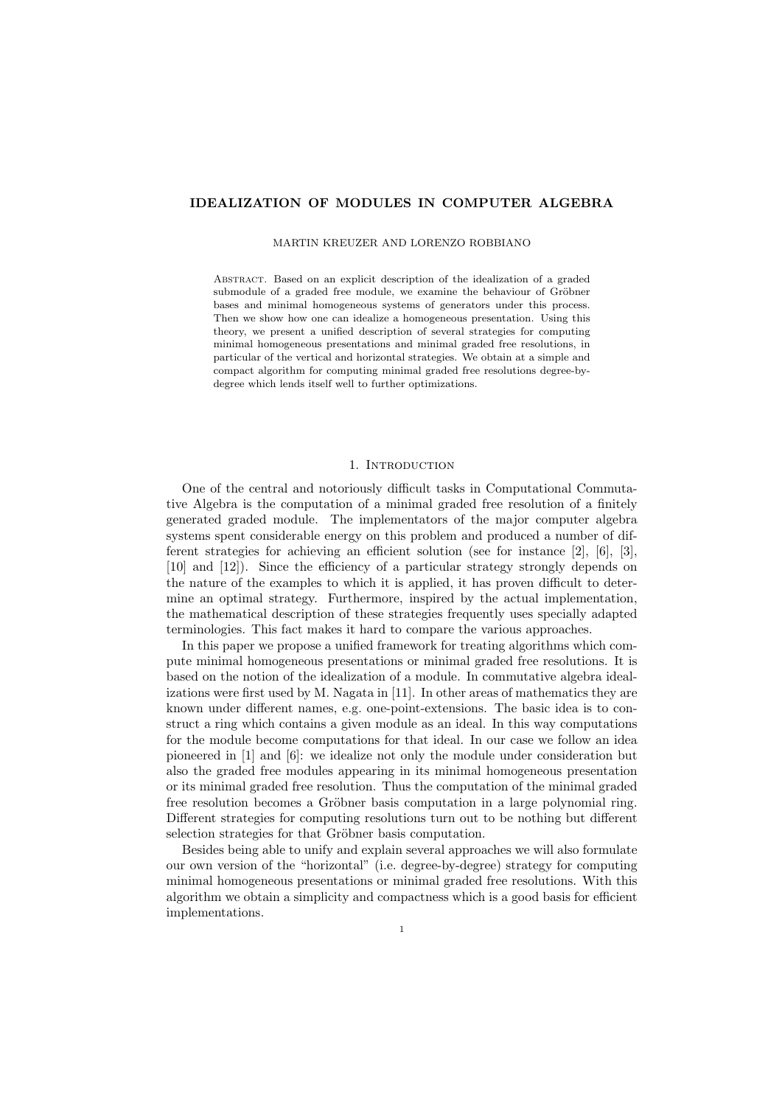# IDEALIZATION OF MODULES IN COMPUTER ALGEBRA

#### MARTIN KREUZER AND LORENZO ROBBIANO

Abstract. Based on an explicit description of the idealization of a graded submodule of a graded free module, we examine the behaviour of Gröbner bases and minimal homogeneous systems of generators under this process. Then we show how one can idealize a homogeneous presentation. Using this theory, we present a unified description of several strategies for computing minimal homogeneous presentations and minimal graded free resolutions, in particular of the vertical and horizontal strategies. We obtain at a simple and compact algorithm for computing minimal graded free resolutions degree-bydegree which lends itself well to further optimizations.

## 1. INTRODUCTION

One of the central and notoriously difficult tasks in Computational Commutative Algebra is the computation of a minimal graded free resolution of a finitely generated graded module. The implementators of the major computer algebra systems spent considerable energy on this problem and produced a number of different strategies for achieving an efficient solution (see for instance [2], [6], [3], [10] and [12]). Since the efficiency of a particular strategy strongly depends on the nature of the examples to which it is applied, it has proven difficult to determine an optimal strategy. Furthermore, inspired by the actual implementation, the mathematical description of these strategies frequently uses specially adapted terminologies. This fact makes it hard to compare the various approaches.

In this paper we propose a unified framework for treating algorithms which compute minimal homogeneous presentations or minimal graded free resolutions. It is based on the notion of the idealization of a module. In commutative algebra idealizations were first used by M. Nagata in [11]. In other areas of mathematics they are known under different names, e.g. one-point-extensions. The basic idea is to construct a ring which contains a given module as an ideal. In this way computations for the module become computations for that ideal. In our case we follow an idea pioneered in [1] and [6]: we idealize not only the module under consideration but also the graded free modules appearing in its minimal homogeneous presentation or its minimal graded free resolution. Thus the computation of the minimal graded free resolution becomes a Gröbner basis computation in a large polynomial ring. Different strategies for computing resolutions turn out to be nothing but different selection strategies for that Gröbner basis computation.

Besides being able to unify and explain several approaches we will also formulate our own version of the "horizontal" (i.e. degree-by-degree) strategy for computing minimal homogeneous presentations or minimal graded free resolutions. With this algorithm we obtain a simplicity and compactness which is a good basis for efficient implementations.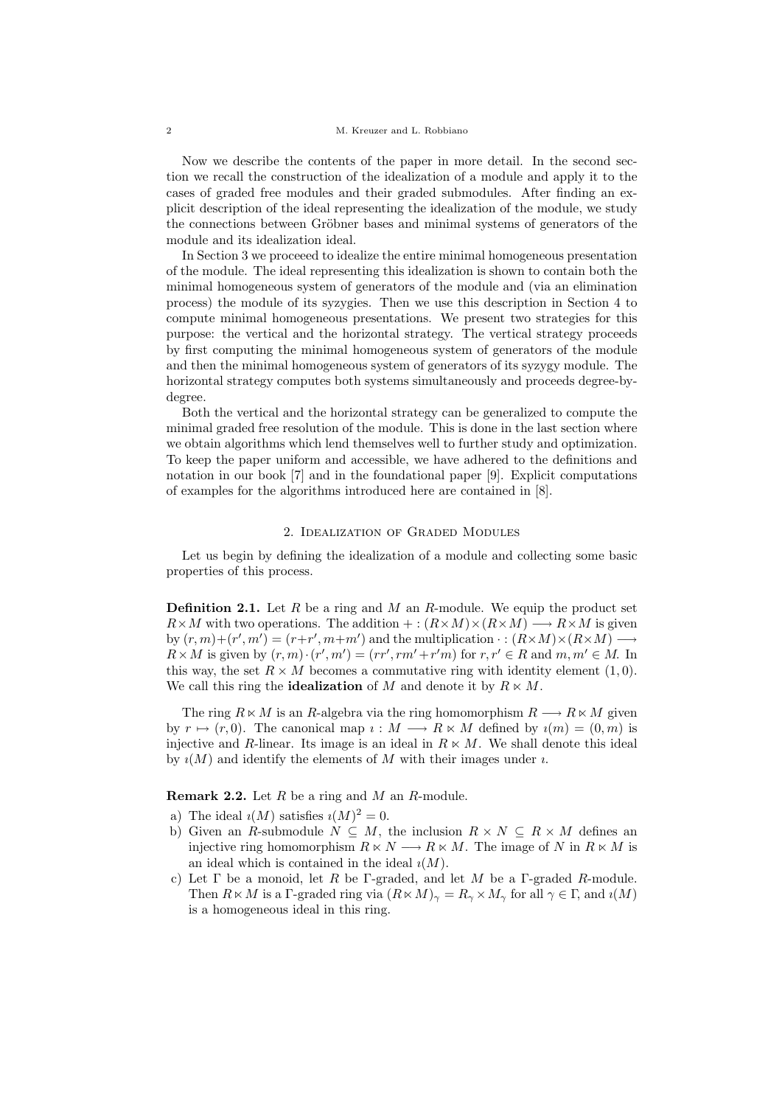Now we describe the contents of the paper in more detail. In the second section we recall the construction of the idealization of a module and apply it to the cases of graded free modules and their graded submodules. After finding an explicit description of the ideal representing the idealization of the module, we study the connections between Gröbner bases and minimal systems of generators of the module and its idealization ideal.

In Section 3 we proceeed to idealize the entire minimal homogeneous presentation of the module. The ideal representing this idealization is shown to contain both the minimal homogeneous system of generators of the module and (via an elimination process) the module of its syzygies. Then we use this description in Section 4 to compute minimal homogeneous presentations. We present two strategies for this purpose: the vertical and the horizontal strategy. The vertical strategy proceeds by first computing the minimal homogeneous system of generators of the module and then the minimal homogeneous system of generators of its syzygy module. The horizontal strategy computes both systems simultaneously and proceeds degree-bydegree.

Both the vertical and the horizontal strategy can be generalized to compute the minimal graded free resolution of the module. This is done in the last section where we obtain algorithms which lend themselves well to further study and optimization. To keep the paper uniform and accessible, we have adhered to the definitions and notation in our book [7] and in the foundational paper [9]. Explicit computations of examples for the algorithms introduced here are contained in [8].

## 2. Idealization of Graded Modules

Let us begin by defining the idealization of a module and collecting some basic properties of this process.

**Definition 2.1.** Let R be a ring and M an R-module. We equip the product set  $R \times M$  with two operations. The addition  $+: (R \times M) \times (R \times M) \longrightarrow R \times M$  is given by  $(r, m) + (r', m') = (r + r', m + m')$  and the multiplication  $\cdot : (R \times M) \times (R \times M) \longrightarrow$  $R \times M$  is given by  $(r, m) \cdot (r', m') = (rr', rm' + r'm)$  for  $r, r' \in R$  and  $m, m' \in M$ . In this way, the set  $R \times M$  becomes a commutative ring with identity element (1,0). We call this ring the **idealization** of M and denote it by  $R \ltimes M$ .

The ring  $R \times M$  is an R-algebra via the ring homomorphism  $R \longrightarrow R \times M$  given by  $r \mapsto (r, 0)$ . The canonical map  $i : M \longrightarrow R \ltimes M$  defined by  $i(m) = (0, m)$  is injective and R-linear. Its image is an ideal in  $R \times M$ . We shall denote this ideal by  $\iota(M)$  and identify the elements of M with their images under  $\iota$ .

**Remark 2.2.** Let  $R$  be a ring and  $M$  an  $R$ -module.

- a) The ideal  $\iota(M)$  satisfies  $\iota(M)^2 = 0$ .
- b) Given an R-submodule  $N \subseteq M$ , the inclusion  $R \times N \subseteq R \times M$  defines an injective ring homomorphism  $R \times N \longrightarrow R \times M$ . The image of N in  $R \times M$  is an ideal which is contained in the ideal  $\iota(M)$ .
- c) Let  $\Gamma$  be a monoid, let  $R$  be  $\Gamma$ -graded, and let  $M$  be a  $\Gamma$ -graded  $R$ -module. Then  $R \ltimes M$  is a Γ-graded ring via  $(R \ltimes M)_{\gamma} = R_{\gamma} \times M_{\gamma}$  for all  $\gamma \in \Gamma$ , and  $\iota(M)$ is a homogeneous ideal in this ring.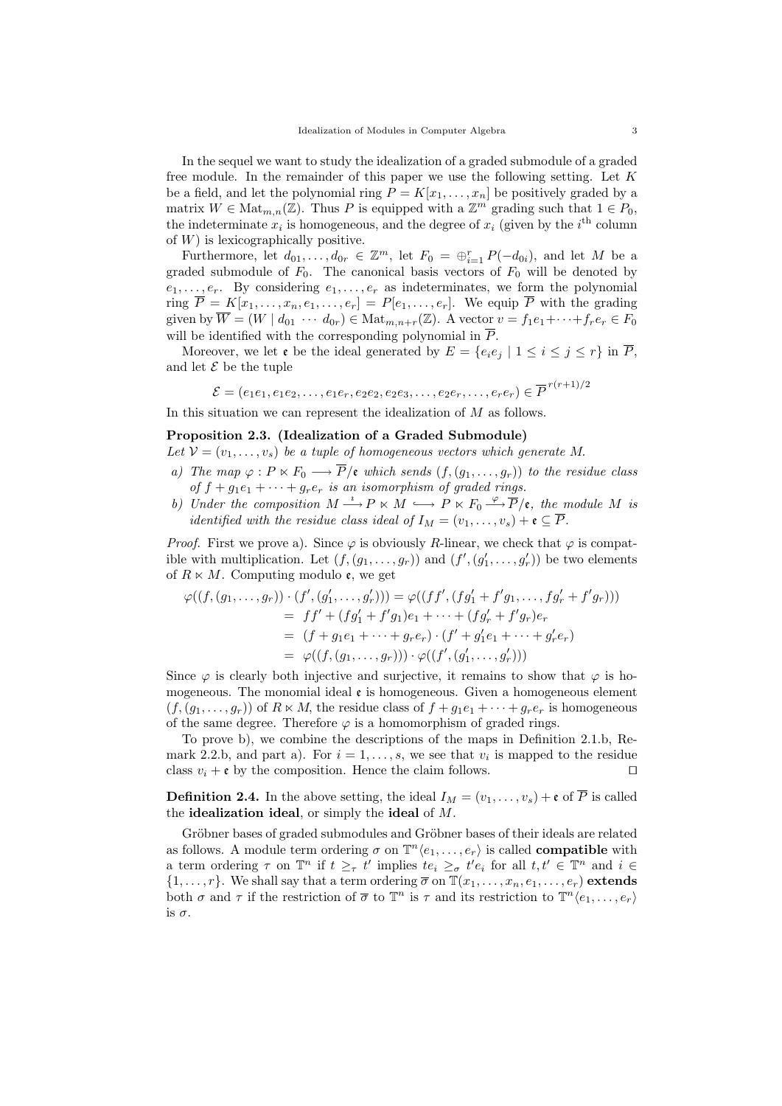In the sequel we want to study the idealization of a graded submodule of a graded free module. In the remainder of this paper we use the following setting. Let  $K$ be a field, and let the polynomial ring  $P = K[x_1, \ldots, x_n]$  be positively graded by a matrix  $W \in \text{Mat}_{m,n}(\mathbb{Z})$ . Thus P is equipped with a  $\mathbb{Z}^m$  grading such that  $1 \in P_0$ , the indeterminate  $x_i$  is homogeneous, and the degree of  $x_i$  (given by the i<sup>th</sup> column of  $W$ ) is lexicographically positive.

Furthermore, let  $d_{01}, \ldots, d_{0r} \in \mathbb{Z}^m$ , let  $F_0 = \bigoplus_{i=1}^r P(-d_{0i})$ , and let M be a graded submodule of  $F_0$ . The canonical basis vectors of  $F_0$  will be denoted by  $e_1, \ldots, e_r$ . By considering  $e_1, \ldots, e_r$  as indeterminates, we form the polynomial ring  $\overline{P} = K[x_1, \ldots, x_n, e_1, \ldots, e_r] = P[e_1, \ldots, e_r]$ . We equip  $\overline{P}$  with the grading given by  $\overline{W} = (W \mid d_{01} \cdots d_{0r}) \in \text{Mat}_{m,n+r}(\mathbb{Z})$ . A vector  $v = f_1 e_1 + \cdots + f_r e_r \in F_0$ will be identified with the corresponding polynomial in  $\overline{P}$ .

Moreover, we let  $\mathfrak e$  be the ideal generated by  $E = \{e_i e_j \mid 1 \le i \le j \le r\}$  in  $\overline{P}$ , and let  $\mathcal E$  be the tuple

$$
\mathcal{E} = (e_1e_1, e_1e_2, \dots, e_1e_r, e_2e_2, e_2e_3, \dots, e_2e_r, \dots, e_re_r) \in \overline{P}^{r(r+1)/2}
$$

In this situation we can represent the idealization of M as follows.

# Proposition 2.3. (Idealization of a Graded Submodule)

Let  $V = (v_1, \ldots, v_s)$  be a tuple of homogeneous vectors which generate M.

- a) The map  $\varphi : P \ltimes F_0 \longrightarrow \overline{P}/\mathfrak{e}$  which sends  $(f,(g_1,\ldots,g_r))$  to the residue class of  $f + g_1e_1 + \cdots + g_re_r$  is an isomorphism of graded rings.
- b) Under the composition  $M \xrightarrow{i} P \ltimes M \longrightarrow P \ltimes F_0 \xrightarrow{\varphi} \overline{P}/\mathfrak{e}$ , the module M is *identified with the residue class ideal of*  $I_M = (v_1, \ldots, v_s) + \mathfrak{e} \subseteq \overline{P}$ .

*Proof.* First we prove a). Since  $\varphi$  is obviously R-linear, we check that  $\varphi$  is compatible with multiplication. Let  $(f, (g_1, \ldots, g_r))$  and  $(f', (g'_1, \ldots, g'_r))$  be two elements of  $R \ltimes M$ . Computing modulo  $\mathfrak{e}$ , we get

$$
\varphi((f, (g_1, \ldots, g_r)) \cdot (f', (g'_1, \ldots, g'_r))) = \varphi((ff', (fg'_1 + f'g_1, \ldots, fg'_r + f'g_r)))
$$
  
= 
$$
ff' + (fg'_1 + f'g_1)e_1 + \cdots + (fg'_r + f'g_r)e_r
$$
  
= 
$$
(f + g_1e_1 + \cdots + g_re_r) \cdot (f' + g'_1e_1 + \cdots + g'_re_r)
$$
  
= 
$$
\varphi((f, (g_1, \ldots, g_r))) \cdot \varphi((f', (g'_1, \ldots, g'_r)))
$$

Since  $\varphi$  is clearly both injective and surjective, it remains to show that  $\varphi$  is homogeneous. The monomial ideal  $\epsilon$  is homogeneous. Given a homogeneous element  $(f,(g_1,\ldots,g_r))$  of  $R\ltimes M$ , the residue class of  $f+g_1e_1+\cdots+g_re_r$  is homogeneous of the same degree. Therefore  $\varphi$  is a homomorphism of graded rings.

To prove b), we combine the descriptions of the maps in Definition 2.1.b, Remark 2.2.b, and part a). For  $i = 1, \ldots, s$ , we see that  $v_i$  is mapped to the residue class  $v_i + \epsilon$  by the composition. Hence the claim follows.

**Definition 2.4.** In the above setting, the ideal  $I_M = (v_1, \ldots, v_s) + \mathfrak{e}$  of  $\overline{P}$  is called the **idealization ideal**, or simply the **ideal** of  $M$ .

Gröbner bases of graded submodules and Gröbner bases of their ideals are related as follows. A module term ordering  $\sigma$  on  $\mathbb{T}^n \langle e_1, \ldots, e_r \rangle$  is called **compatible** with a term ordering  $\tau$  on  $\mathbb{T}^n$  if  $t \geq_{\tau} t'$  implies  $te_i \geq_{\sigma} t'e_i$  for all  $t, t' \in \mathbb{T}^n$  and  $i \in$  $\{1,\ldots,r\}$ . We shall say that a term ordering  $\overline{\sigma}$  on  $\mathbb{T}(x_1,\ldots,x_n,e_1,\ldots,e_r)$  extends both  $\sigma$  and  $\tau$  if the restriction of  $\overline{\sigma}$  to  $\mathbb{T}^n$  is  $\tau$  and its restriction to  $\mathbb{T}^n \langle e_1, \ldots, e_r \rangle$ is  $\sigma$ .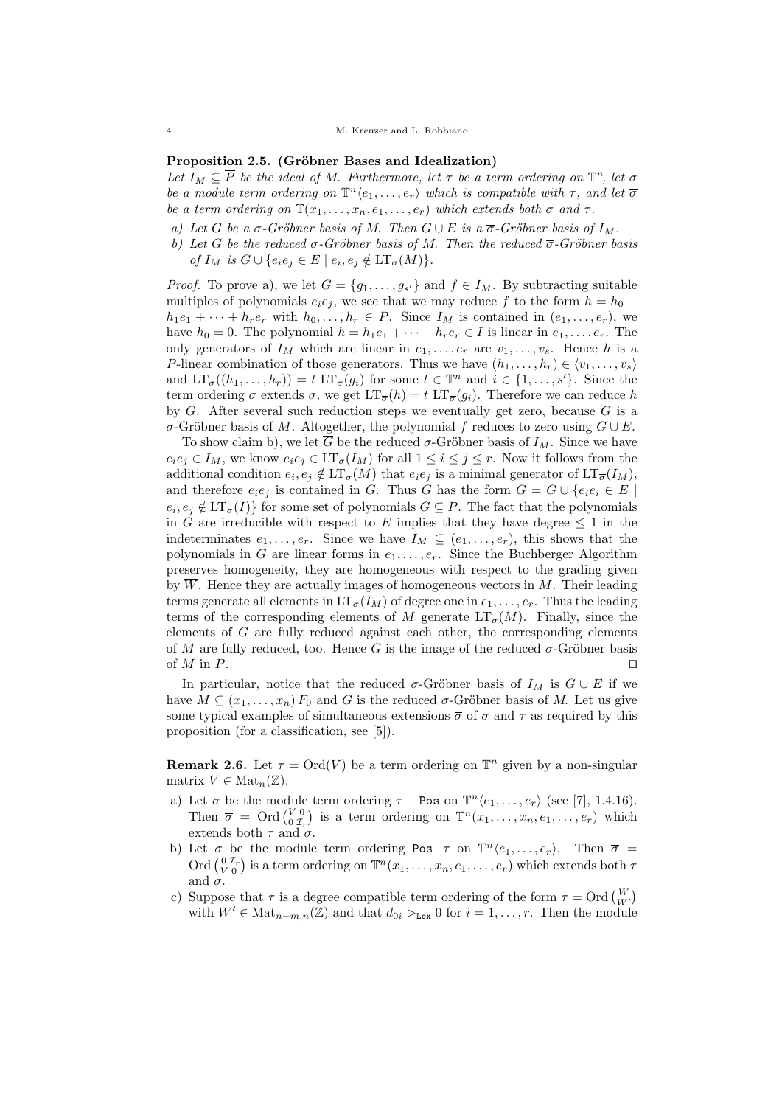### Proposition 2.5. (Gröbner Bases and Idealization)

Let  $I_M \subseteq \overline{P}$  be the ideal of M. Furthermore, let  $\tau$  be a term ordering on  $\mathbb{T}^n$ , let  $\sigma$ be a module term ordering on  $\mathbb{T}^n \langle e_1, \ldots, e_r \rangle$  which is compatible with  $\tau$ , and let  $\overline{\sigma}$ be a term ordering on  $\mathbb{T}(x_1, \ldots, x_n, e_1, \ldots, e_r)$  which extends both  $\sigma$  and  $\tau$ .

- a) Let G be a  $\sigma$ -Gröbner basis of M. Then  $G \cup E$  is a  $\overline{\sigma}$ -Gröbner basis of  $I_M$ .
- b) Let G be the reduced  $\sigma$ -Gröbner basis of M. Then the reduced  $\overline{\sigma}$ -Gröbner basis of  $I_M$  is  $G \cup \{e_ie_j \in E \mid e_i, e_j \notin \mathop{\mathrm{LT}}\nolimits_{\sigma}(M)\}.$

*Proof.* To prove a), we let  $G = \{g_1, \ldots, g_{s'}\}$  and  $f \in I_M$ . By subtracting suitable multiples of polynomials  $e_i e_j$ , we see that we may reduce f to the form  $h = h_0 +$  $h_1e_1 + \cdots + h_re_r$  with  $h_0, \ldots, h_r \in P$ . Since  $I_M$  is contained in  $(e_1, \ldots, e_r)$ , we have  $h_0 = 0$ . The polynomial  $h = h_1e_1 + \cdots + h_re_r \in I$  is linear in  $e_1, \ldots, e_r$ . The only generators of  $I_M$  which are linear in  $e_1, \ldots, e_r$  are  $v_1, \ldots, v_s$ . Hence h is a P-linear combination of those generators. Thus we have  $(h_1, \ldots, h_r) \in \langle v_1, \ldots, v_s \rangle$ and  $LT_{\sigma}((h_1, ..., h_r)) = t \ LT_{\sigma}(g_i)$  for some  $t \in \mathbb{T}^n$  and  $i \in \{1, ..., s'\}$ . Since the term ordering  $\bar{\sigma}$  extends  $\sigma$ , we get  $LT_{\bar{\sigma}}(h) = t LT_{\bar{\sigma}}(g_i)$ . Therefore we can reduce h by  $G$ . After several such reduction steps we eventually get zero, because  $G$  is a σ-Gröbner basis of M. Altogether, the polynomial f reduces to zero using  $G \cup E$ .

To show claim b), we let  $\overline{G}$  be the reduced  $\overline{\sigma}$ -Gröbner basis of  $I_M$ . Since we have  $e_i e_j \in I_M$ , we know  $e_i e_j \in \mathop{\rm LT}\nolimits_{\overline{\sigma}}(I_M)$  for all  $1 \le i \le j \le r$ . Now it follows from the additional condition  $e_i, e_j \notin \mathop{\rm LT}\nolimits_\sigma(M)$  that  $e_i e_j$  is a minimal generator of  $\mathop{\rm LT}\nolimits_{\overline{\sigma}}(I_M)$ , and therefore  $e_i e_j$  is contained in  $\overline{G}$ . Thus  $\overline{G}$  has the form  $\overline{G} = G \cup \{e_i e_i \in E \mid$  $e_i, e_j \notin \mathrm{LT}_{\sigma}(I)$  for some set of polynomials  $G \subseteq P$ . The fact that the polynomials in G are irreducible with respect to E implies that they have degree  $\leq 1$  in the indeterminates  $e_1, \ldots, e_r$ . Since we have  $I_M \subseteq (e_1, \ldots, e_r)$ , this shows that the polynomials in G are linear forms in  $e_1, \ldots, e_r$ . Since the Buchberger Algorithm preserves homogeneity, they are homogeneous with respect to the grading given by  $\overline{W}$ . Hence they are actually images of homogeneous vectors in M. Their leading terms generate all elements in  $LT_{\sigma}(I_M)$  of degree one in  $e_1, \ldots, e_r$ . Thus the leading terms of the corresponding elements of M generate  $LT_{\sigma}(M)$ . Finally, since the elements of  $G$  are fully reduced against each other, the corresponding elements of M are fully reduced, too. Hence G is the image of the reduced  $\sigma$ -Gröbner basis of  $M$  in  $P$ .

In particular, notice that the reduced  $\overline{\sigma}$ -Gröbner basis of  $I_M$  is  $G \cup E$  if we have  $M \subseteq (x_1, \ldots, x_n) F_0$  and G is the reduced  $\sigma$ -Gröbner basis of M. Let us give some typical examples of simultaneous extensions  $\bar{\sigma}$  of  $\sigma$  and  $\tau$  as required by this proposition (for a classification, see [5]).

**Remark 2.6.** Let  $\tau = \text{Ord}(V)$  be a term ordering on  $\mathbb{T}^n$  given by a non-singular matrix  $V \in Mat_n(\mathbb{Z})$ .

- a) Let  $\sigma$  be the module term ordering  $\tau$  Pos on  $\mathbb{T}^n \langle e_1, \ldots, e_r \rangle$  (see [7], 1.4.16). Then  $\overline{\sigma} = \text{Ord}({\binom{V0}{0}}{\tau_r})$  is a term ordering on  $\mathbb{T}^n(x_1,\ldots,x_n,e_1,\ldots,e_r)$  which extends both  $\tau$  and  $\sigma$ .
- b) Let  $\sigma$  be the module term ordering Pos- $\tau$  on  $\mathbb{T}^n \langle e_1, \ldots, e_r \rangle$ . Then  $\overline{\sigma}$  = Ord  $\binom{0 \, \mathcal{I}_r}{V \, 0}$  is a term ordering on  $\mathbb{T}^n(x_1, \ldots, x_n, e_1, \ldots, e_r)$  which extends both  $\tau$ and  $\sigma$ .
- c) Suppose that  $\tau$  is a degree compatible term ordering of the form  $\tau = \text{Ord}\begin{pmatrix} W \\ W' \end{pmatrix}$ with  $W' \in \text{Mat}_{n-m,n}(\mathbb{Z})$  and that  $d_{0i} >_{\text{Lex}} 0$  for  $i = 1, \ldots, r$ . Then the module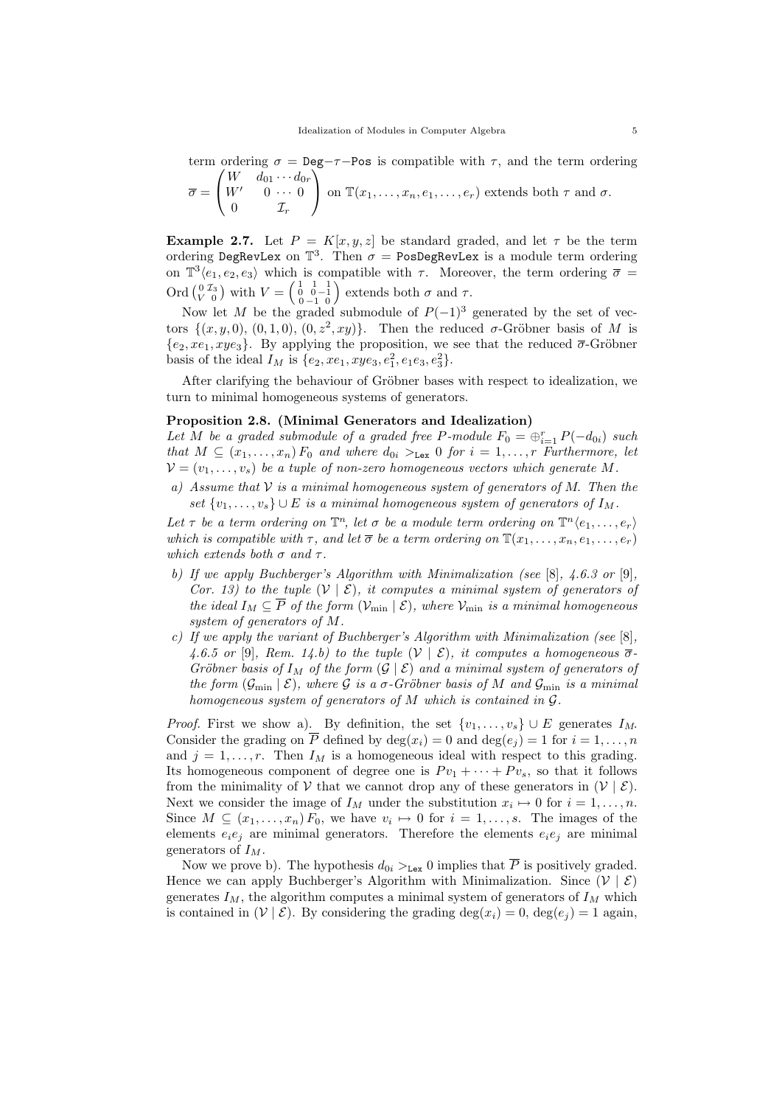term ordering  $\sigma = \text{Deg}-\tau-\text{Pos}$  is compatible with  $\tau$ , and the term ordering  $\left(W \quad d_{01} \cdots d_{0r}\right)$ 

$$
\overline{\sigma} = \begin{pmatrix} W' & 0 & \cdots & 0 \\ 0 & \mathcal{I}_r & \end{pmatrix}
$$
 on  $\mathbb{T}(x_1, \ldots, x_n, e_1, \ldots, e_r)$  extends both  $\tau$  and  $\sigma$ .

**Example 2.7.** Let  $P = K[x, y, z]$  be standard graded, and let  $\tau$  be the term ordering DegRevLex on  $\mathbb{T}^3$ . Then  $\sigma =$  PosDegRevLex is a module term ordering on  $\mathbb{T}^3\langle e_1, e_2, e_3 \rangle$  which is compatible with  $\tau$ . Moreover, the term ordering  $\overline{\sigma} =$ Ord  $\begin{pmatrix} 0 & \mathcal{I}_3 \\ V & 0 \end{pmatrix}$  with  $V = \begin{pmatrix} 1 & 1 & 1 \\ 0 & -1 & 0 \\ 0 & -1 & 0 \end{pmatrix}$  extends both  $\sigma$  and  $\tau$ .

Now let M be the graded submodule of  $P(-1)^3$  generated by the set of vectors  $\{(x, y, 0), (0, 1, 0), (0, z^2, xy)\}.$  Then the reduced  $\sigma$ -Gröbner basis of M is  ${e_2, xe_1, xye_3}$ . By applying the proposition, we see that the reduced  $\overline{\sigma}$ -Gröbner basis of the ideal  $I_M$  is  $\{e_2, xe_1, xye_3, e_1^2, e_1e_3, e_3^2\}.$ 

After clarifying the behaviour of Gröbner bases with respect to idealization, we turn to minimal homogeneous systems of generators.

### Proposition 2.8. (Minimal Generators and Idealization)

Let M be a graded submodule of a graded free P-module  $F_0 = \bigoplus_{i=1}^r P(-d_{0i})$  such that  $M \subseteq (x_1, \ldots, x_n) F_0$  and where  $d_{0i} >_{\text{Lex}} 0$  for  $i = 1, \ldots, r$  Furthermore, let  $V = (v_1, \ldots, v_s)$  be a tuple of non-zero homogeneous vectors which generate M.

a) Assume that  $V$  is a minimal homogeneous system of generators of M. Then the set  $\{v_1, \ldots, v_s\} \cup E$  is a minimal homogeneous system of generators of  $I_M$ .

Let  $\tau$  be a term ordering on  $\mathbb{T}^n$ , let  $\sigma$  be a module term ordering on  $\mathbb{T}^n \langle e_1, \ldots, e_r \rangle$ which is compatible with  $\tau$ , and let  $\overline{\sigma}$  be a term ordering on  $\mathbb{T}(x_1, \ldots, x_n, e_1, \ldots, e_r)$ which extends both  $\sigma$  and  $\tau$ .

- b) If we apply Buchberger's Algorithm with Minimalization (see  $[8]$ , 4.6.3 or  $[9]$ , Cor. 13) to the tuple  $(V | \mathcal{E})$ , it computes a minimal system of generators of the ideal  $I_M \subseteq \overline{P}$  of the form  $(\mathcal{V}_{\text{min}} | \mathcal{E})$ , where  $\mathcal{V}_{\text{min}}$  is a minimal homogeneous system of generators of M.
- c) If we apply the variant of Buchberger's Algorithm with Minimalization (see [8], 4.6.5 or [9], Rem. 14.b) to the tuple  $(V | \mathcal{E})$ , it computes a homogeneous  $\overline{\sigma}$ -Gröbner basis of  $I_M$  of the form  $(\mathcal{G} \mid \mathcal{E})$  and a minimal system of generators of the form  $(\mathcal{G}_{\text{min}} | \mathcal{E})$ , where  $\mathcal G$  is a  $\sigma$ -Gröbner basis of M and  $\mathcal{G}_{\text{min}}$  is a minimal homogeneous system of generators of M which is contained in G.

*Proof.* First we show a). By definition, the set  $\{v_1, \ldots, v_s\} \cup E$  generates  $I_M$ . Consider the grading on  $\overline{P}$  defined by  $\deg(x_i) = 0$  and  $\deg(e_i) = 1$  for  $i = 1, \ldots, n$ and  $j = 1, \ldots, r$ . Then  $I_M$  is a homogeneous ideal with respect to this grading. Its homogeneous component of degree one is  $P v_1 + \cdots + P v_s$ , so that it follows from the minimality of V that we cannot drop any of these generators in  $(\mathcal{V} | \mathcal{E})$ . Next we consider the image of  $I_M$  under the substitution  $x_i \mapsto 0$  for  $i = 1, \ldots, n$ . Since  $M \subseteq (x_1, \ldots, x_n) F_0$ , we have  $v_i \mapsto 0$  for  $i = 1, \ldots, s$ . The images of the elements  $e_i e_j$  are minimal generators. Therefore the elements  $e_i e_j$  are minimal generators of  $I_M$ .

Now we prove b). The hypothesis  $d_{0i} >_{\text{Lex}} 0$  implies that  $\overline{P}$  is positively graded. Hence we can apply Buchberger's Algorithm with Minimalization. Since  $(V | \mathcal{E})$ generates  $I_M$ , the algorithm computes a minimal system of generators of  $I_M$  which is contained in  $(\mathcal{V} \mid \mathcal{E})$ . By considering the grading  $\deg(x_i) = 0$ ,  $\deg(e_i) = 1$  again.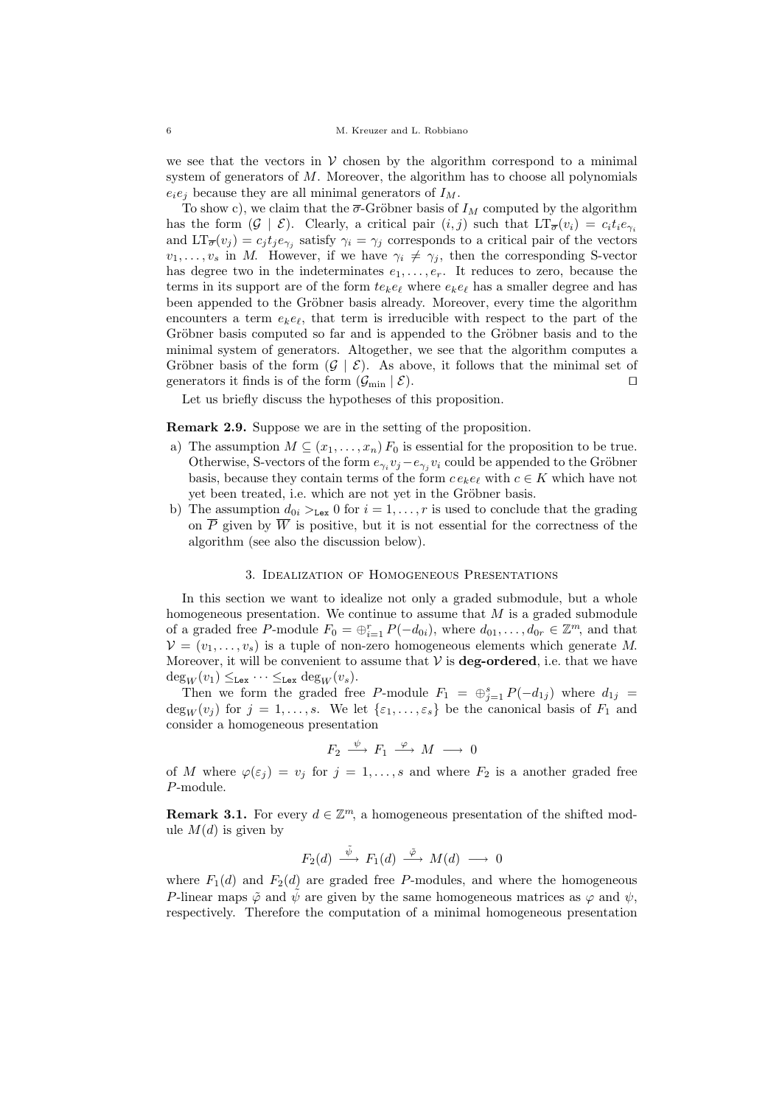we see that the vectors in  $V$  chosen by the algorithm correspond to a minimal system of generators of M. Moreover, the algorithm has to choose all polynomials  $e_i e_j$  because they are all minimal generators of  $I_M$ .

To show c), we claim that the  $\bar{\sigma}$ -Gröbner basis of  $I_M$  computed by the algorithm has the form  $(\mathcal{G} \mid \mathcal{E})$ . Clearly, a critical pair  $(i, j)$  such that  $LT_{\overline{\sigma}}(v_i) = c_i t_i e_{\gamma_i}$ and  $LT_{\overline{\sigma}}(v_j) = c_j t_j e_{\gamma_j}$  satisfy  $\gamma_i = \gamma_j$  corresponds to a critical pair of the vectors  $v_1, \ldots, v_s$  in M. However, if we have  $\gamma_i \neq \gamma_j$ , then the corresponding S-vector has degree two in the indeterminates  $e_1, \ldots, e_r$ . It reduces to zero, because the terms in its support are of the form  $te_k e_\ell$  where  $e_k e_\ell$  has a smaller degree and has been appended to the Gröbner basis already. Moreover, every time the algorithm encounters a term  $e_k e_\ell$ , that term is irreducible with respect to the part of the Gröbner basis computed so far and is appended to the Gröbner basis and to the minimal system of generators. Altogether, we see that the algorithm computes a Gröbner basis of the form  $(\mathcal{G} \mid \mathcal{E})$ . As above, it follows that the minimal set of generators it finds is of the form  $(\mathcal{G}_{\text{min}} | \mathcal{E})$ .

Let us briefly discuss the hypotheses of this proposition.

Remark 2.9. Suppose we are in the setting of the proposition.

- a) The assumption  $M \subseteq (x_1, \ldots, x_n) F_0$  is essential for the proposition to be true. Otherwise, S-vectors of the form  $e_{\gamma_i}v_j - e_{\gamma_j}v_i$  could be appended to the Gröbner basis, because they contain terms of the form  $ce_k e_\ell$  with  $c \in K$  which have not yet been treated, i.e. which are not yet in the Gröbner basis.
- b) The assumption  $d_{0i} >_{\text{Lex}} 0$  for  $i = 1, ..., r$  is used to conclude that the grading on  $\overline{P}$  given by  $\overline{W}$  is positive, but it is not essential for the correctness of the algorithm (see also the discussion below).

### 3. Idealization of Homogeneous Presentations

In this section we want to idealize not only a graded submodule, but a whole homogeneous presentation. We continue to assume that  $M$  is a graded submodule of a graded free P-module  $F_0 = \bigoplus_{i=1}^r P(-d_{0i}),$  where  $d_{01}, \ldots, d_{0r} \in \mathbb{Z}^m$ , and that  $V = (v_1, \ldots, v_s)$  is a tuple of non-zero homogeneous elements which generate M. Moreover, it will be convenient to assume that  $\mathcal V$  is **deg-ordered**, i.e. that we have  $\deg_W(v_1) \leq_{\text{Lex}} \cdots \leq_{\text{Lex}} \deg_W(v_s).$ 

Then we form the graded free P-module  $F_1 = \bigoplus_{j=1}^s P(-d_{1j})$  where  $d_{1j}$  $\deg_W(v_j)$  for  $j = 1, \ldots, s$ . We let  $\{\varepsilon_1, \ldots, \varepsilon_s\}$  be the canonical basis of  $F_1$  and consider a homogeneous presentation

$$
F_2 \stackrel{\psi}{\longrightarrow} F_1 \stackrel{\varphi}{\longrightarrow} M \longrightarrow 0
$$

of M where  $\varphi(\varepsilon_j) = v_j$  for  $j = 1, \ldots, s$  and where  $F_2$  is a another graded free P-module.

**Remark 3.1.** For every  $d \in \mathbb{Z}^m$ , a homogeneous presentation of the shifted module  $M(d)$  is given by

$$
F_2(d) \stackrel{\tilde{\psi}}{\longrightarrow} F_1(d) \stackrel{\tilde{\varphi}}{\longrightarrow} M(d) \longrightarrow 0
$$

where  $F_1(d)$  and  $F_2(d)$  are graded free P-modules, and where the homogeneous P-linear maps  $\tilde{\varphi}$  and  $\tilde{\psi}$  are given by the same homogeneous matrices as  $\varphi$  and  $\psi$ , respectively. Therefore the computation of a minimal homogeneous presentation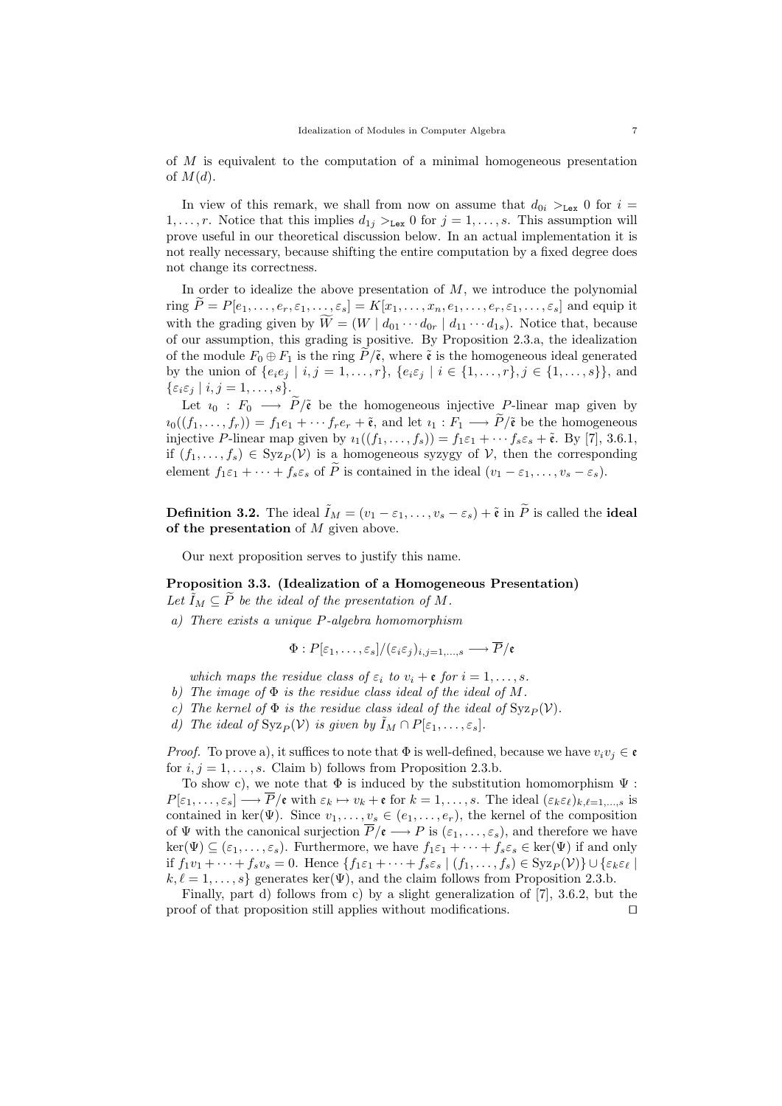of M is equivalent to the computation of a minimal homogeneous presentation of  $M(d)$ .

In view of this remark, we shall from now on assume that  $d_{0i} >_{\text{Lex}} 0$  for  $i =$  $1, \ldots, r$ . Notice that this implies  $d_{1j} >_{\text{Lex}} 0$  for  $j = 1, \ldots, s$ . This assumption will prove useful in our theoretical discussion below. In an actual implementation it is not really necessary, because shifting the entire computation by a fixed degree does not change its correctness.

In order to idealize the above presentation of  $M$ , we introduce the polynomial ring  $\tilde{P} = P[e_1, \ldots, e_r, \varepsilon_1, \ldots, \varepsilon_s] = K[x_1, \ldots, x_n, e_1, \ldots, e_r, \varepsilon_1, \ldots, \varepsilon_s]$  and equip it with the grading given by  $\widetilde{W} = (W \mid d_{01} \cdots d_{0r} \mid d_{11} \cdots d_{1s})$ . Notice that, because of our assumption, this grading is positive. By Proposition 2.3.a, the idealization of the module  $F_0 \oplus F_1$  is the ring  $\tilde{P}/\tilde{\epsilon}$ , where  $\tilde{\epsilon}$  is the homogeneous ideal generated by the union of  $\{e_i e_j | i, j = 1, ..., r\}$ ,  $\{e_i \varepsilon_j | i \in \{1, ..., r\}$ ,  $j \in \{1, ..., s\}$ , and  $\{\varepsilon_i\varepsilon_j\mid i,j=1,\ldots,s\}.$ 

Let  $i_0 : F_0 \longrightarrow \tilde{P}/\tilde{\epsilon}$  be the homogeneous injective P-linear map given by  $i_0((f_1,\ldots,f_r))=f_1e_1+\cdots f_re_r+\tilde{\mathfrak{e}},$  and let  $i_1:F_1\longrightarrow \tilde{P}/\tilde{\mathfrak{e}}$  be the homogeneous injective P-linear map given by  $i_1((f_1, \ldots, f_s)) = f_1 \varepsilon_1 + \cdots + f_s \varepsilon_s + \tilde{\mathfrak{e}}$ . By [7], 3.6.1, if  $(f_1, \ldots, f_s) \in Syz_P(V)$  is a homogeneous syzygy of V, then the corresponding element  $f_1\varepsilon_1 + \cdots + f_s\varepsilon_s$  of  $\widetilde{P}$  is contained in the ideal  $(v_1 - \varepsilon_1, \ldots, v_s - \varepsilon_s)$ .

**Definition 3.2.** The ideal  $\tilde{I}_M = (v_1 - \varepsilon_1, \ldots, v_s - \varepsilon_s) + \tilde{\varepsilon}$  in  $\tilde{P}$  is called the **ideal** of the presentation of  $M$  given above.

Our next proposition serves to justify this name.

Proposition 3.3. (Idealization of a Homogeneous Presentation) Let  $\tilde{I}_M \subseteq \tilde{P}$  be the ideal of the presentation of M.

a) There exists a unique P-algebra homomorphism

$$
\Phi: P[\varepsilon_1,\ldots,\varepsilon_s]/(\varepsilon_i\varepsilon_j)_{i,j=1,\ldots,s} \longrightarrow \overline{P}/\mathfrak{e}
$$

which maps the residue class of  $\varepsilon_i$  to  $v_i + \varepsilon$  for  $i = 1, \ldots, s$ .

- b) The image of  $\Phi$  is the residue class ideal of the ideal of M.
- c) The kernel of  $\Phi$  is the residue class ideal of the ideal of  $Syz_P(V)$ .
- d) The ideal of  $\text{Syz}_P(\mathcal{V})$  is given by  $\tilde{I}_M \cap P[\varepsilon_1, \ldots, \varepsilon_s].$

*Proof.* To prove a), it suffices to note that  $\Phi$  is well-defined, because we have  $v_i v_j \in \mathfrak{e}$ for  $i, j = 1, \ldots, s$ . Claim b) follows from Proposition 2.3.b.

To show c), we note that  $\Phi$  is induced by the substitution homomorphism  $\Psi$ :  $P[\varepsilon_1,\ldots,\varepsilon_s] \longrightarrow \overline{P}/\varepsilon$  with  $\varepsilon_k \mapsto v_k + \varepsilon$  for  $k = 1,\ldots,s$ . The ideal  $(\varepsilon_k \varepsilon_\ell)_{k,\ell=1,\ldots,s}$  is contained in ker( $\Psi$ ). Since  $v_1, \ldots, v_s \in (e_1, \ldots, e_r)$ , the kernel of the composition of  $\Psi$  with the canonical surjection  $\overline{P}/\mathfrak{e} \longrightarrow P$  is  $(\varepsilon_1, \ldots, \varepsilon_s)$ , and therefore we have  $\ker(\Psi) \subseteq (\varepsilon_1, \ldots, \varepsilon_s)$ . Furthermore, we have  $f_1 \varepsilon_1 + \cdots + f_s \varepsilon_s \in \ker(\Psi)$  if and only if  $f_1v_1 + \cdots + f_sv_s = 0$ . Hence  $\{f_1\varepsilon_1 + \cdots + f_s\varepsilon_s \mid (f_1,\ldots,f_s) \in Syz_P(\mathcal{V})\} \cup \{\varepsilon_k\varepsilon_\ell \mid (f_1,\ldots,f_s) \in Y_1\varepsilon_\ell\}$  $k, \ell = 1, \ldots, s$  generates ker( $\Psi$ ), and the claim follows from Proposition 2.3.b.

Finally, part d) follows from c) by a slight generalization of [7], 3.6.2, but the proof of that proposition still applies without modifications.  $\Box$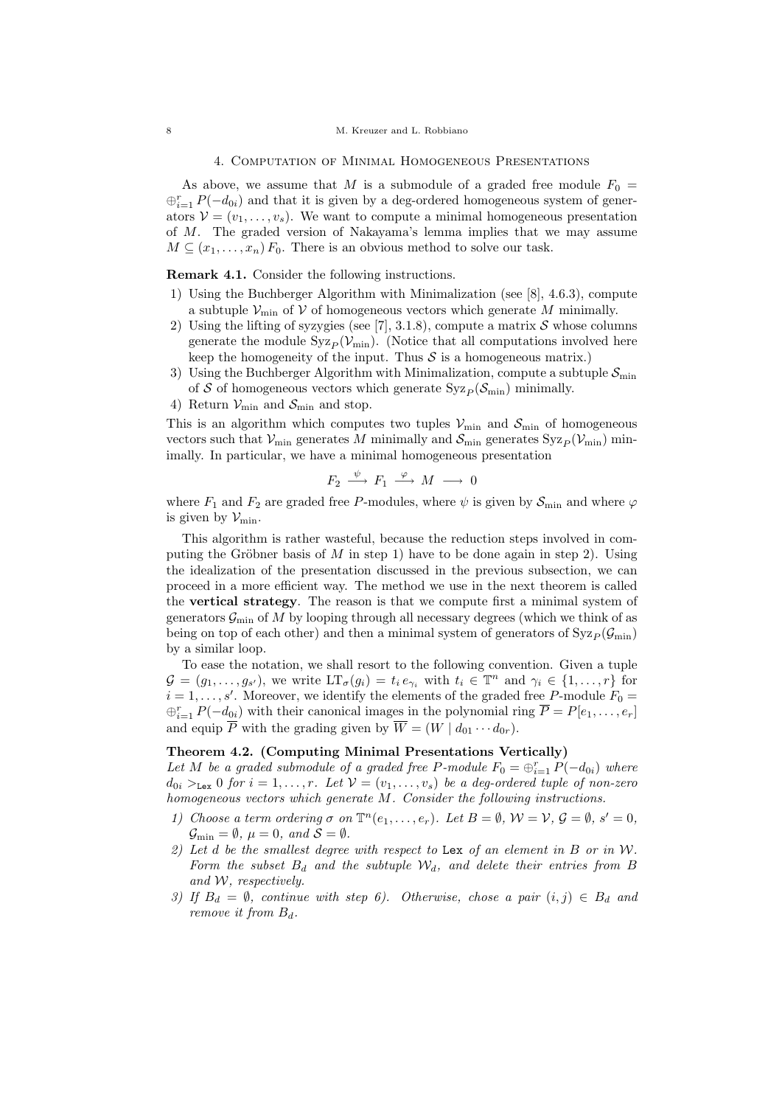#### 4. Computation of Minimal Homogeneous Presentations

As above, we assume that M is a submodule of a graded free module  $F_0 =$  $\bigoplus_{i=1}^r P(-d_{0i})$  and that it is given by a deg-ordered homogeneous system of generators  $V = (v_1, \ldots, v_s)$ . We want to compute a minimal homogeneous presentation of M. The graded version of Nakayama's lemma implies that we may assume  $M \subseteq (x_1, \ldots, x_n) F_0$ . There is an obvious method to solve our task.

Remark 4.1. Consider the following instructions.

- 1) Using the Buchberger Algorithm with Minimalization (see [8], 4.6.3), compute a subtuple  $\mathcal{V}_{\mathrm{min}}$  of  $\mathcal V$  of homogeneous vectors which generate  $M$  minimally.
- 2) Using the lifting of syzygies (see [7], 3.1.8), compute a matrix  $S$  whose columns generate the module  $Syz_P(V_{min})$ . (Notice that all computations involved here keep the homogeneity of the input. Thus  $\mathcal S$  is a homogeneous matrix.)
- 3) Using the Buchberger Algorithm with Minimalization, compute a subtuple  $S_{\min}$ of S of homogeneous vectors which generate  $Syz_P (\mathcal{S}_{min})$  minimally.
- 4) Return  $\mathcal{V}_{\text{min}}$  and  $\mathcal{S}_{\text{min}}$  and stop.

This is an algorithm which computes two tuples  $V_{\text{min}}$  and  $S_{\text{min}}$  of homogeneous vectors such that  $V_{\text{min}}$  generates M minimally and  $S_{\text{min}}$  generates  $Syz_P(V_{\text{min}})$  minimally. In particular, we have a minimal homogeneous presentation

$$
F_2 \stackrel{\psi}{\longrightarrow} F_1 \stackrel{\varphi}{\longrightarrow} M \longrightarrow 0
$$

where  $F_1$  and  $F_2$  are graded free P-modules, where  $\psi$  is given by  $\mathcal{S}_{\text{min}}$  and where  $\varphi$ is given by  $\mathcal{V}_{\text{min}}$ .

This algorithm is rather wasteful, because the reduction steps involved in computing the Gröbner basis of M in step 1) have to be done again in step 2). Using the idealization of the presentation discussed in the previous subsection, we can proceed in a more efficient way. The method we use in the next theorem is called the vertical strategy. The reason is that we compute first a minimal system of generators  $\mathcal{G}_{\text{min}}$  of M by looping through all necessary degrees (which we think of as being on top of each other) and then a minimal system of generators of  $Syz_P(\mathcal{G}_{min})$ by a similar loop.

To ease the notation, we shall resort to the following convention. Given a tuple  $\mathcal{G} = (g_1, \ldots, g_{s'})$ , we write  $LT_{\sigma}(g_i) = t_i e_{\gamma_i}$  with  $t_i \in \mathbb{T}^n$  and  $\gamma_i \in \{1, \ldots, r\}$  for  $i = 1, \ldots, s'$ . Moreover, we identify the elements of the graded free P-module  $F_0 =$  $\bigoplus_{i=1}^r P(-d_{0i})$  with their canonical images in the polynomial ring  $\overline{P} = P[e_1, \ldots, e_r]$ and equip  $\overline{P}$  with the grading given by  $\overline{W} = (W \mid d_{01} \cdots d_{0r}).$ 

## Theorem 4.2. (Computing Minimal Presentations Vertically)

Let M be a graded submodule of a graded free P-module  $F_0 = \bigoplus_{i=1}^r P(-d_{0i})$  where  $d_{0i} >_{\text{Lex}} 0$  for  $i = 1, \ldots, r$ . Let  $\mathcal{V} = (v_1, \ldots, v_s)$  be a deg-ordered tuple of non-zero homogeneous vectors which generate M. Consider the following instructions.

- 1) Choose a term ordering  $\sigma$  on  $\mathbb{T}^n(e_1,\ldots,e_r)$ . Let  $B=\emptyset$ ,  $\mathcal{W}=\mathcal{V}$ ,  $\mathcal{G}=\emptyset$ ,  $s'=0$ ,  $\mathcal{G}_{\min} = \emptyset$ ,  $\mu = 0$ , and  $\mathcal{S} = \emptyset$ .
- 2) Let  $d$  be the smallest degree with respect to Lex of an element in  $B$  or in  $W$ . Form the subset  $B_d$  and the subtuple  $\mathcal{W}_d$ , and delete their entries from B and W, respectively.
- 3) If  $B_d = \emptyset$ , continue with step 6). Otherwise, chose a pair  $(i, j) \in B_d$  and remove it from  $B_d$ .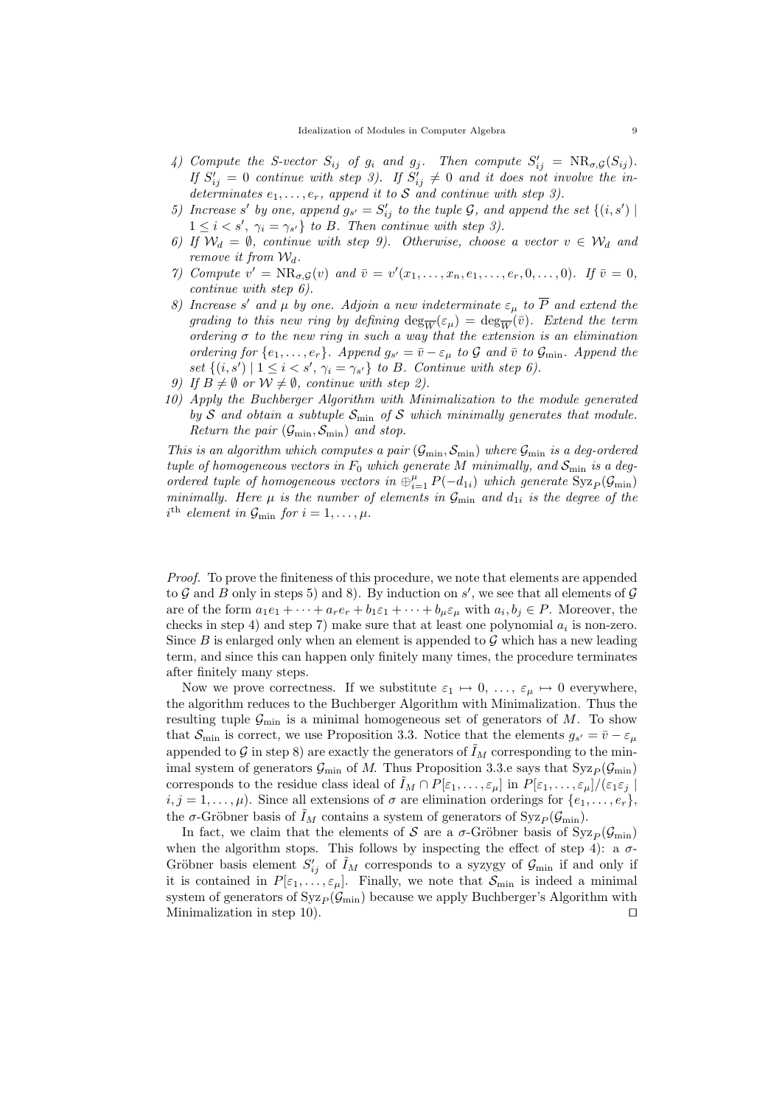- 4) Compute the S-vector  $S_{ij}$  of  $g_i$  and  $g_j$ . Then compute  $S'_{ij} = NR_{\sigma,\mathcal{G}}(S_{ij})$ . If  $S'_{ij} = 0$  continue with step 3). If  $S'_{ij} \neq 0$  and it does not involve the indeterminates  $e_1, \ldots, e_r$ , append it to S and continue with step 3).
- 5) Increase s' by one, append  $g_{s'} = S'_{ij}$  to the tuple  $G$ , and append the set  $\{(i, s') \mid$  $1 \leq i \leq s'$ ,  $\gamma_i = \gamma_{s'}$  to B. Then continue with step 3).
- 6) If  $W_d = \emptyset$ , continue with step 9). Otherwise, choose a vector  $v \in W_d$  and remove it from  $\mathcal{W}_d$ .
- 7) Compute  $v' = NR_{\sigma,G}(v)$  and  $\overline{v} = v'(x_1,\ldots,x_n,e_1,\ldots,e_r,0,\ldots,0)$ . If  $\overline{v} = 0$ , continue with step 6).
- 8) Increase s' and  $\mu$  by one. Adjoin a new indeterminate  $\varepsilon_{\mu}$  to  $\overline{P}$  and extend the grading to this new ring by defining  $\deg_{\overline{W}}(\varepsilon_{\mu}) = \deg_{\overline{W}}(\overline{v})$ . Extend the term ordering  $\sigma$  to the new ring in such a way that the extension is an elimination ordering for  $\{e_1,\ldots,e_r\}$ . Append  $g_{s'} = \bar{v} - \varepsilon_\mu$  to  $\mathcal G$  and  $\bar{v}$  to  $\mathcal G_{\min}$ . Append the set  $\{(i, s') \mid 1 \leq i < s', \gamma_i = \gamma_{s'}\}$  to B. Continue with step 6).
- 9) If  $B \neq \emptyset$  or  $W \neq \emptyset$ , continue with step 2).
- 10) Apply the Buchberger Algorithm with Minimalization to the module generated by S and obtain a subtuple  $S_{\min}$  of S which minimally generates that module. Return the pair  $(\mathcal{G}_{\text{min}}, \mathcal{S}_{\text{min}})$  and stop.

This is an algorithm which computes a pair  $(\mathcal{G}_{\min}, \mathcal{S}_{\min})$  where  $\mathcal{G}_{\min}$  is a deg-ordered tuple of homogeneous vectors in  $F_0$  which generate M minimally, and  $S_{\text{min}}$  is a degordered tuple of homogeneous vectors in  $\oplus_{i=1}^{\mu} P(-d_{1i})$  which generate  $\text{Syz}_P(\mathcal{G}_{\text{min}})$ minimally. Here  $\mu$  is the number of elements in  $\mathcal{G}_{\text{min}}$  and  $d_{1i}$  is the degree of the  $i^{\text{th}}$  element in  $\mathcal{G}_{\text{min}}$  for  $i = 1, \ldots, \mu$ .

Proof. To prove the finiteness of this procedure, we note that elements are appended to  $G$  and  $B$  only in steps 5) and 8). By induction on  $s'$ , we see that all elements of  $G$ are of the form  $a_1e_1 + \cdots + a_re_r + b_1\varepsilon_1 + \cdots + b_\mu\varepsilon_\mu$  with  $a_i, b_j \in P$ . Moreover, the checks in step 4) and step 7) make sure that at least one polynomial  $a_i$  is non-zero. Since B is enlarged only when an element is appended to  $\mathcal G$  which has a new leading term, and since this can happen only finitely many times, the procedure terminates after finitely many steps.

Now we prove correctness. If we substitute  $\varepsilon_1 \mapsto 0, \ldots, \varepsilon_\mu \mapsto 0$  everywhere, the algorithm reduces to the Buchberger Algorithm with Minimalization. Thus the resulting tuple  $\mathcal{G}_{\text{min}}$  is a minimal homogeneous set of generators of M. To show that  $\mathcal{S}_{\text{min}}$  is correct, we use Proposition 3.3. Notice that the elements  $g_{s'} = \bar{v} - \varepsilon_{\mu}$ appended to G in step 8) are exactly the generators of  $\tilde{I}_M$  corresponding to the minimal system of generators  $\mathcal{G}_{\text{min}}$  of M. Thus Proposition 3.3.e says that  $Syz_P(\mathcal{G}_{\text{min}})$ corresponds to the residue class ideal of  $I_M \cap P[\varepsilon_1,\ldots,\varepsilon_\mu]$  in  $P[\varepsilon_1,\ldots,\varepsilon_\mu]/(\varepsilon_1\varepsilon_j]$  $i, j = 1, \ldots, \mu$ ). Since all extensions of  $\sigma$  are elimination orderings for  $\{e_1, \ldots, e_r\}$ , the  $\sigma$ -Gröbner basis of  $I_M$  contains a system of generators of Syz<sub>P</sub> ( $\mathcal{G}_{\text{min}}$ ).

In fact, we claim that the elements of S are a  $\sigma$ -Gröbner basis of Syz<sub>P</sub>( $\mathcal{G}_{\text{min}}$ ) when the algorithm stops. This follows by inspecting the effect of step 4): a  $\sigma$ -Gröbner basis element  $S'_{ij}$  of  $\tilde{I}_M$  corresponds to a syzygy of  $\mathcal{G}_{\text{min}}$  if and only if it is contained in  $P[\varepsilon_1,\ldots,\varepsilon_\mu]$ . Finally, we note that  $\mathcal{S}_{\min}$  is indeed a minimal system of generators of  $Syz_P(\mathcal{G}_{min})$  because we apply Buchberger's Algorithm with Minimalization in step 10).  $\Box$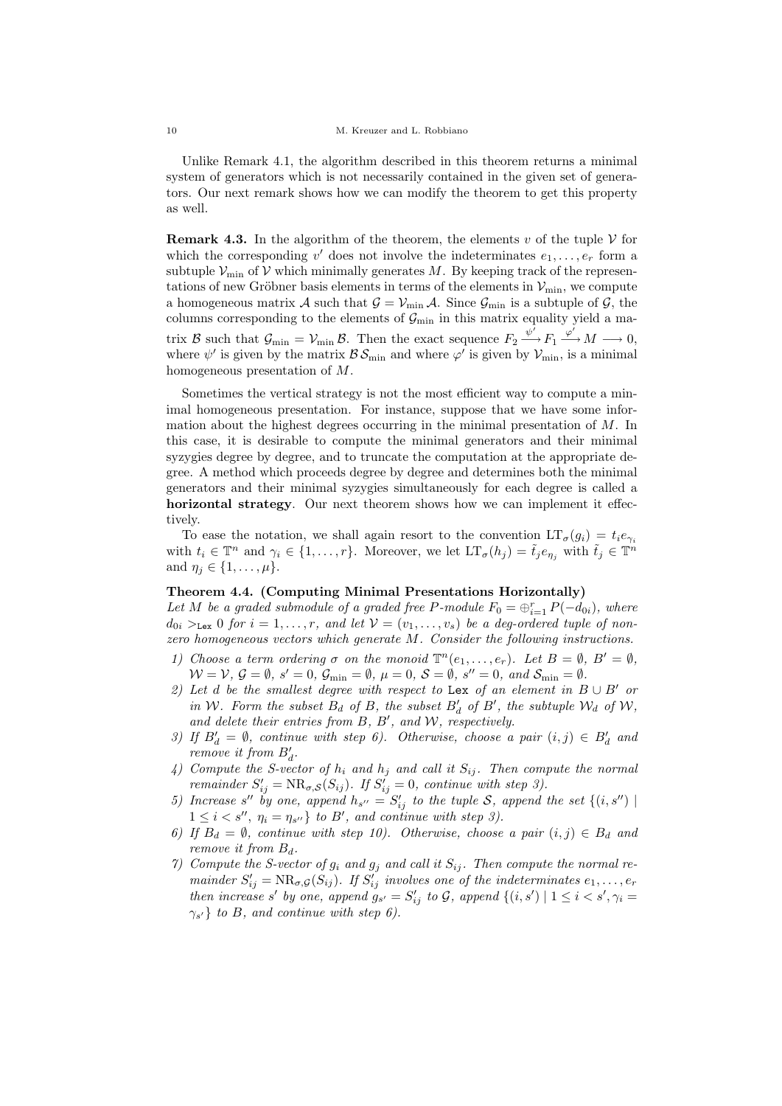Unlike Remark 4.1, the algorithm described in this theorem returns a minimal system of generators which is not necessarily contained in the given set of generators. Our next remark shows how we can modify the theorem to get this property as well.

**Remark 4.3.** In the algorithm of the theorem, the elements v of the tuple  $\mathcal V$  for which the corresponding  $v'$  does not involve the indeterminates  $e_1, \ldots, e_r$  form a subtuple  $V_{\text{min}}$  of V which minimally generates M. By keeping track of the representations of new Gröbner basis elements in terms of the elements in  $\mathcal{V}_{\text{min}}$ , we compute a homogeneous matrix A such that  $G = V_{\text{min}} A$ . Since  $G_{\text{min}}$  is a subtuple of G, the columns corresponding to the elements of  $\mathcal{G}_{\text{min}}$  in this matrix equality yield a matrix B such that  $\mathcal{G}_{\text{min}} = \mathcal{V}_{\text{min}}$  B. Then the exact sequence  $F_2 \xrightarrow{\psi'} F_1 \xrightarrow{\varphi'} M \longrightarrow 0$ , where  $\psi'$  is given by the matrix  $\mathcal{BS}_{min}$  and where  $\varphi'$  is given by  $\mathcal{V}_{min}$ , is a minimal homogeneous presentation of M.

Sometimes the vertical strategy is not the most efficient way to compute a minimal homogeneous presentation. For instance, suppose that we have some information about the highest degrees occurring in the minimal presentation of M. In this case, it is desirable to compute the minimal generators and their minimal syzygies degree by degree, and to truncate the computation at the appropriate degree. A method which proceeds degree by degree and determines both the minimal generators and their minimal syzygies simultaneously for each degree is called a horizontal strategy. Our next theorem shows how we can implement it effectively.

To ease the notation, we shall again resort to the convention  $LT_{\sigma}(g_i) = t_i e_{\gamma_i}$ with  $t_i \in \mathbb{T}^n$  and  $\gamma_i \in \{1, \ldots, r\}$ . Moreover, we let  $LT_{\sigma}(h_j) = \tilde{t}_j e_{\eta_j}$  with  $\tilde{t}_j \in \mathbb{T}^n$ and  $\eta_i \in \{1, \ldots, \mu\}.$ 

## Theorem 4.4. (Computing Minimal Presentations Horizontally)

Let M be a graded submodule of a graded free P-module  $F_0 = \bigoplus_{i=1}^r P(-d_{0i})$ , where  $d_{0i} >_{\text{Lex}} 0$  for  $i = 1, \ldots, r$ , and let  $\mathcal{V} = (v_1, \ldots, v_s)$  be a deg-ordered tuple of nonzero homogeneous vectors which generate M. Consider the following instructions.

- 1) Choose a term ordering  $\sigma$  on the monoid  $\mathbb{T}^n(e_1,\ldots,e_r)$ . Let  $B=\emptyset$ ,  $B'=\emptyset$ ,  $W = V, G = \emptyset, s' = 0, G_{\min} = \emptyset, \mu = 0, S = \emptyset, s'' = 0, and S_{\min} = \emptyset.$
- 2) Let d be the smallest degree with respect to Lex of an element in  $B \cup B'$  or in W. Form the subset  $B_d$  of B, the subset  $B'_d$  of B', the subtuple  $\mathcal{W}_d$  of  $\mathcal{W}$ , and delete their entries from  $B, B',$  and  $W$ , respectively.
- 3) If  $B'_d = \emptyset$ , continue with step 6). Otherwise, choose a pair  $(i, j) \in B'_d$  and remove it from  $B'_d$ .
- 4) Compute the S-vector of  $h_i$  and  $h_j$  and call it  $S_{ij}$ . Then compute the normal remainder  $S'_{ij} = NR_{\sigma,S}(S_{ij})$ . If  $S'_{ij} = 0$ , continue with step 3).
- 5) Increase s'' by one, append  $h_{s''} = S'_{ij}$  to the tuple S, append the set  $\{(i, s'')\mid$  $1 \leq i < s''$ ,  $\eta_i = \eta_{s''}$  to B', and continue with step 3).
- 6) If  $B_d = \emptyset$ , continue with step 10). Otherwise, choose a pair  $(i, j) \in B_d$  and remove it from  $B_d$ .
- 7) Compute the S-vector of  $g_i$  and  $g_j$  and call it  $S_{ij}$ . Then compute the normal remainder  $S'_{ij} = \text{NR}_{\sigma, \mathcal{G}}(S_{ij})$ . If  $S'_{ij}$  involves one of the indeterminates  $e_1, \ldots, e_r$ then increase s' by one, append  $g_{s'} = S'_{ij}$  to  $\mathcal{G}$ , append  $\{(i, s') | 1 \leq i < s', \gamma_i =$  $\gamma_{s'}$  to B, and continue with step 6).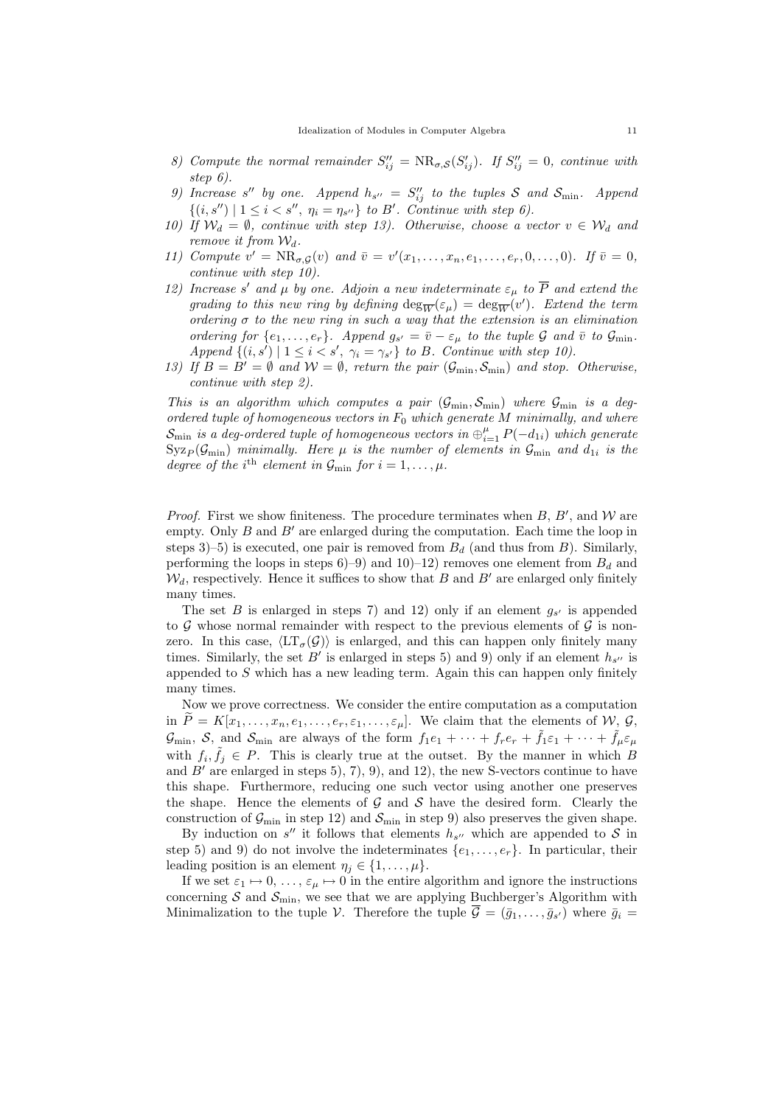- 8) Compute the normal remainder  $S_{ij}^{\prime\prime} = NR_{\sigma,S}(S_{ij}^{\prime})$ . If  $S_{ij}^{\prime\prime} = 0$ , continue with step 6).
- 9) Increase s'' by one. Append  $h_{s''} = S''_{ij}$  to the tuples S and  $S_{\min}$ . Append  $\{(i, s'') \mid 1 \leq i < s'', \eta_i = \eta_{s''}\}\$  to B'. Continue with step 6).
- 10) If  $W_d = \emptyset$ , continue with step 13). Otherwise, choose a vector  $v \in W_d$  and remove it from  $W_d$ .
- 11) Compute  $v' = NR_{\sigma,\mathcal{G}}(v)$  and  $\bar{v} = v'(x_1,\ldots,x_n,e_1,\ldots,e_r,0,\ldots,0)$ . If  $\bar{v} = 0$ , continue with step 10).
- 12) Increase s' and  $\mu$  by one. Adjoin a new indeterminate  $\varepsilon_{\mu}$  to  $\overline{P}$  and extend the grading to this new ring by defining  $\deg_{\overline{W}}(\varepsilon_{\mu}) = \deg_{\overline{W}}(v')$ . Extend the term ordering  $\sigma$  to the new ring in such a way that the extension is an elimination ordering for  $\{e_1,\ldots,e_r\}$ . Append  $g_{s'} = \bar{v} - \varepsilon_\mu$  to the tuple G and  $\bar{v}$  to  $\mathcal{G}_{\text{min}}$ . Append  $\{(i, s') \mid 1 \leq i < s', \gamma_i = \gamma_{s'}\}$  to B. Continue with step 10).
- 13) If  $B = B' = \emptyset$  and  $W = \emptyset$ , return the pair  $(\mathcal{G}_{\min}, \mathcal{S}_{\min})$  and stop. Otherwise, continue with step 2).

This is an algorithm which computes a pair  $(\mathcal{G}_{\min}, \mathcal{S}_{\min})$  where  $\mathcal{G}_{\min}$  is a degordered tuple of homogeneous vectors in  $F_0$  which generate M minimally, and where  $\mathcal{S}_{\text{min}}$  is a deg-ordered tuple of homogeneous vectors in  $\oplus_{i=1}^{\mu}$   $P(-d_{1i})$  which generate  $Syz_P(\mathcal{G}_{\text{min}})$  minimally. Here  $\mu$  is the number of elements in  $\mathcal{G}_{\text{min}}$  and  $d_{1i}$  is the degree of the i<sup>th</sup> element in  $\mathcal{G}_{\text{min}}$  for  $i = 1, \ldots, \mu$ .

*Proof.* First we show finiteness. The procedure terminates when  $B$ ,  $B'$ , and  $W$  are empty. Only  $B$  and  $B'$  are enlarged during the computation. Each time the loop in steps 3)–5) is executed, one pair is removed from  $B_d$  (and thus from B). Similarly, performing the loops in steps 6–9) and 10–12) removes one element from  $B_d$  and  $\mathcal{W}_d$ , respectively. Hence it suffices to show that B and B' are enlarged only finitely many times.

The set B is enlarged in steps 7) and 12) only if an element  $g_{s'}$  is appended to G whose normal remainder with respect to the previous elements of  $G$  is nonzero. In this case,  $\langle \mathrm{LT}_{\sigma}(\mathcal{G}) \rangle$  is enlarged, and this can happen only finitely many times. Similarly, the set B' is enlarged in steps 5) and 9) only if an element  $h_{s''}$  is appended to S which has a new leading term. Again this can happen only finitely many times.

Now we prove correctness. We consider the entire computation as a computation in  $P = K[x_1, \ldots, x_n, e_1, \ldots, e_r, \varepsilon_1, \ldots, \varepsilon_\mu]$ . We claim that the elements of W, G,  $\mathcal{G}_{\text{min}}$ ,  $\mathcal{S}$ , and  $\mathcal{S}_{\text{min}}$  are always of the form  $f_1e_1 + \cdots + f_re_r + \tilde{f}_1\varepsilon_1 + \cdots + \tilde{f}_\mu\varepsilon_\mu$ with  $f_i, \tilde{f}_j \in P$ . This is clearly true at the outset. By the manner in which B and  $B'$  are enlarged in steps 5), 7), 9), and 12), the new S-vectors continue to have this shape. Furthermore, reducing one such vector using another one preserves the shape. Hence the elements of  $\mathcal G$  and  $\mathcal S$  have the desired form. Clearly the construction of  $\mathcal{G}_{\text{min}}$  in step 12) and  $\mathcal{S}_{\text{min}}$  in step 9) also preserves the given shape.

By induction on  $s''$  it follows that elements  $h_{s''}$  which are appended to S in step 5) and 9) do not involve the indeterminates  $\{e_1, \ldots, e_r\}$ . In particular, their leading position is an element  $\eta_i \in \{1, \ldots, \mu\}.$ 

If we set  $\varepsilon_1 \mapsto 0, \ldots, \varepsilon_\mu \mapsto 0$  in the entire algorithm and ignore the instructions concerning  $S$  and  $S_{\text{min}}$ , we see that we are applying Buchberger's Algorithm with Minimalization to the tuple V. Therefore the tuple  $\overline{\mathcal{G}} = (\overline{g}_1, \ldots, \overline{g}_{s'})$  where  $\overline{g}_i =$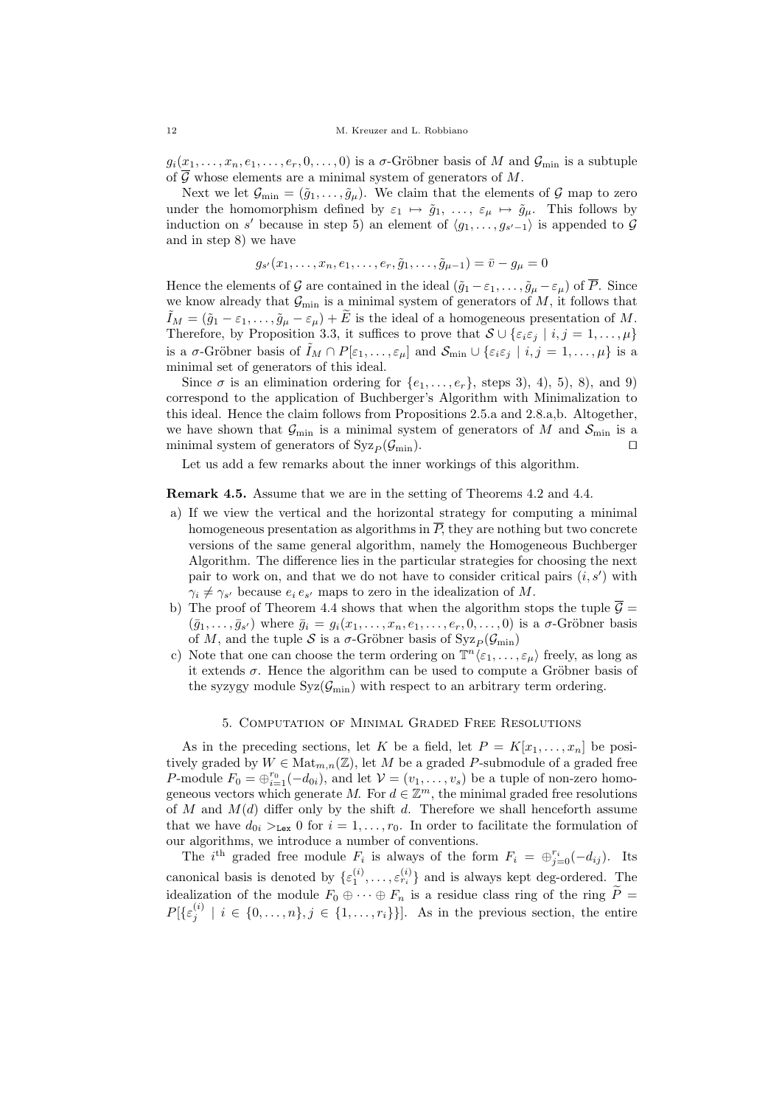$g_i(x_1,\ldots,x_n,e_1,\ldots,e_r,0,\ldots,0)$  is a  $\sigma$ -Gröbner basis of M and  $\mathcal{G}_{\min}$  is a subtuple of  $\overline{G}$  whose elements are a minimal system of generators of M.

Next we let  $\mathcal{G}_{\min} = (\tilde{g}_1, \ldots, \tilde{g}_\mu)$ . We claim that the elements of  $\mathcal{G}$  map to zero under the homomorphism defined by  $\varepsilon_1 \mapsto \tilde{g}_1, \ldots, \varepsilon_\mu \mapsto \tilde{g}_\mu$ . This follows by induction on s' because in step 5) an element of  $\langle g_1, \ldots, g_{s'-1} \rangle$  is appended to  $\mathcal G$ and in step 8) we have

$$
g_{s'}(x_1, \ldots, x_n, e_1, \ldots, e_r, \tilde{g}_1, \ldots, \tilde{g}_{\mu-1}) = \bar{v} - g_{\mu} = 0
$$

Hence the elements of G are contained in the ideal  $(\tilde{g}_1 - \varepsilon_1, \dots, \tilde{g}_\mu - \varepsilon_\mu)$  of  $\overline{P}$ . Since we know already that  $\mathcal{G}_{\text{min}}$  is a minimal system of generators of  $M$ , it follows that  $\tilde{I}_M = (\tilde{g}_1 - \varepsilon_1, \ldots, \tilde{g}_\mu - \varepsilon_\mu) + \tilde{E}$  is the ideal of a homogeneous presentation of M. Therefore, by Proposition 3.3, it suffices to prove that  $S \cup \{\varepsilon_i \varepsilon_j \mid i, j = 1, \ldots, \mu\}$ is a  $\sigma$ -Gröbner basis of  $\tilde{I}_M \cap P[\varepsilon_1,\ldots,\varepsilon_\mu]$  and  $\mathcal{S}_{\min} \cup {\varepsilon_i \varepsilon_j \mid i,j=1,\ldots,\mu}$  is a minimal set of generators of this ideal.

Since  $\sigma$  is an elimination ordering for  $\{e_1, \ldots, e_r\}$ , steps 3), 4), 5), 8), and 9) correspond to the application of Buchberger's Algorithm with Minimalization to this ideal. Hence the claim follows from Propositions 2.5.a and 2.8.a,b. Altogether, we have shown that  $\mathcal{G}_{\text{min}}$  is a minimal system of generators of M and  $\mathcal{S}_{\text{min}}$  is a minimal system of generators of  $Syz_P(\mathcal{G}_{min})$ .

Let us add a few remarks about the inner workings of this algorithm.

Remark 4.5. Assume that we are in the setting of Theorems 4.2 and 4.4.

- a) If we view the vertical and the horizontal strategy for computing a minimal homogeneous presentation as algorithms in  $\overline{P}$ , they are nothing but two concrete versions of the same general algorithm, namely the Homogeneous Buchberger Algorithm. The difference lies in the particular strategies for choosing the next pair to work on, and that we do not have to consider critical pairs  $(i, s')$  with  $\gamma_i \neq \gamma_{s'}$  because  $e_i e_{s'}$  maps to zero in the idealization of M.
- b) The proof of Theorem 4.4 shows that when the algorithm stops the tuple  $\overline{\mathcal{G}}$  =  $(\bar{g}_1,\ldots,\bar{g}_{s'})$  where  $\bar{g}_i = g_i(x_1,\ldots,x_n,e_1,\ldots,e_r,0,\ldots,0)$  is a  $\sigma$ -Gröbner basis of M, and the tuple S is a  $\sigma$ -Gröbner basis of Syz $_P(\mathcal{G}_{min})$
- c) Note that one can choose the term ordering on  $\mathbb{T}^n \langle \varepsilon_1, \ldots, \varepsilon_\mu \rangle$  freely, as long as it extends  $\sigma$ . Hence the algorithm can be used to compute a Gröbner basis of the syzygy module  $Syz(\mathcal{G}_{\text{min}})$  with respect to an arbitrary term ordering.

## 5. Computation of Minimal Graded Free Resolutions

As in the preceding sections, let K be a field, let  $P = K[x_1, \ldots, x_n]$  be positively graded by  $W \in \text{Mat}_{m,n}(\mathbb{Z})$ , let M be a graded P-submodule of a graded free P-module  $F_0 = \bigoplus_{i=1}^{r_0} (-d_{0i}),$  and let  $\mathcal{V} = (v_1, \ldots, v_s)$  be a tuple of non-zero homogeneous vectors which generate M. For  $d \in \mathbb{Z}^m$ , the minimal graded free resolutions of M and  $M(d)$  differ only by the shift d. Therefore we shall henceforth assume that we have  $d_{0i} >_{\text{Lex}} 0$  for  $i = 1, \ldots, r_0$ . In order to facilitate the formulation of our algorithms, we introduce a number of conventions.

The i<sup>th</sup> graded free module  $F_i$  is always of the form  $F_i = \bigoplus_{j=0}^{r_i} (-d_{ij})$ . Its canonical basis is denoted by  $\{\varepsilon_1^{(i)}, \ldots, \varepsilon_{r_i}^{(i)}\}$  and is always kept deg-ordered. The idealization of the module  $F_0 \oplus \cdots \oplus F_n$  is a residue class ring of the ring  $\widetilde{P}$  =  $P[\{\varepsilon_j^{(i)} \mid i \in \{0,\ldots,n\}, j \in \{1,\ldots,r_i\}\}].$  As in the previous section, the entire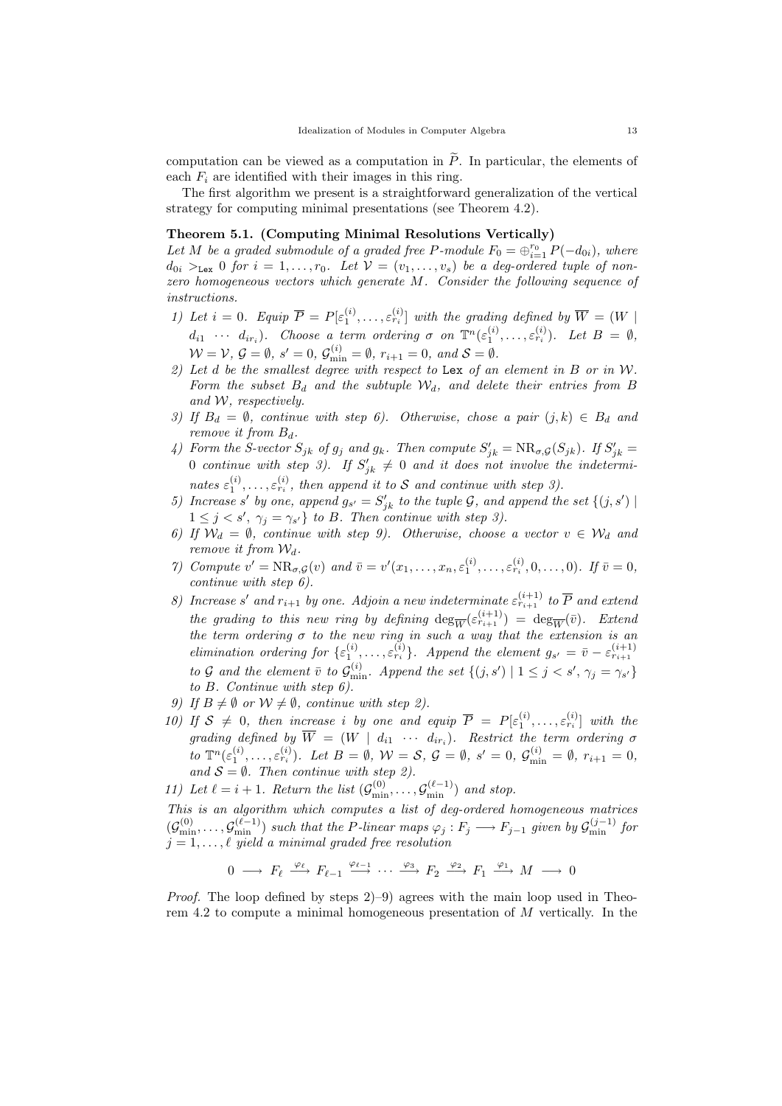computation can be viewed as a computation in  $\tilde{P}$ . In particular, the elements of each  $F_i$  are identified with their images in this ring.

The first algorithm we present is a straightforward generalization of the vertical strategy for computing minimal presentations (see Theorem 4.2).

## Theorem 5.1. (Computing Minimal Resolutions Vertically)

Let M be a graded submodule of a graded free P-module  $F_0 = \bigoplus_{i=1}^{r_0} P(-d_{0i})$ , where  $d_{0i} >_{\text{Lex}} 0$  for  $i = 1, \ldots, r_0$ . Let  $V = (v_1, \ldots, v_s)$  be a deg-ordered tuple of nonzero homogeneous vectors which generate M. Consider the following sequence of instructions.

- 1) Let  $i = 0$ . Equip  $\overline{P} = P[\varepsilon_1^{(i)}, \ldots, \varepsilon_{r_i}^{(i)}]$  with the grading defined by  $\overline{W} = (W \mid$  $d_{i1} \cdots d_{ir_i}$ ). Choose a term ordering  $\sigma$  on  $\mathbb{T}^n(\varepsilon_1^{(i)},\ldots,\varepsilon_{r_i}^{(i)})$ . Let  $B = \emptyset$ ,  $\mathcal{W} = \mathcal{V}, \, \mathcal{G} = \emptyset, \, s' = 0, \, \mathcal{G}_{\min}^{(i)} = \emptyset, \, r_{i+1} = 0, \text{ and } \mathcal{S} = \emptyset.$
- 2) Let d be the smallest degree with respect to Lex of an element in  $B$  or in  $W$ . Form the subset  $B_d$  and the subtuple  $W_d$ , and delete their entries from B and W, respectively.
- 3) If  $B_d = \emptyset$ , continue with step 6). Otherwise, chose a pair  $(j,k) \in B_d$  and remove it from  $B_d$ .
- 4) Form the S-vector  $S_{jk}$  of  $g_j$  and  $g_k$ . Then compute  $S'_{jk} = \text{NR}_{\sigma, \mathcal{G}}(S_{jk})$ . If  $S'_{jk} =$ 0 continue with step 3). If  $S'_{jk} \neq 0$  and it does not involve the indeterminates  $\varepsilon_1^{(i)}, \ldots, \varepsilon_{r_i}^{(i)}$ , then append it to S and continue with step 3).
- 5) Increase s' by one, append  $g_{s'} = S'_{jk}$  to the tuple  $\mathcal{G}$ , and append the set  $\{(j, s') \mid$  $1 \leq j \leq s'$ ,  $\gamma_j = \gamma_{s'}\}$  to B. Then continue with step 3).
- 6) If  $W_d = \emptyset$ , continue with step 9). Otherwise, choose a vector  $v \in W_d$  and remove it from  $\mathcal{W}_d$ .
- 7) Compute  $v' = NR_{\sigma,\mathcal{G}}(v)$  and  $\bar{v} = v'(x_1,\ldots,x_n,\varepsilon_1^{(i)},\ldots,\varepsilon_{r_i}^{(i)},0,\ldots,0)$ . If  $\bar{v} = 0$ , continue with step 6).
- 8) Increase s' and  $r_{i+1}$  by one. Adjoin a new indeterminate  $\varepsilon_{r_{i+1}}^{(i+1)}$  to  $\overline{P}$  and extend the grading to this new ring by defining  $\deg_{\overline{W}}(\varepsilon_{r_{i+1}}^{(i+1)}) = \deg_{\overline{W}}(\overline{v})$ . Extend the term ordering  $\sigma$  to the new ring in such a way that the extension is an elimination ordering for  $\{\varepsilon_1^{(i)},\ldots,\varepsilon_{r_i}^{(i)}\}$ . Append the element  $g_{s'} = \bar{v} - \varepsilon_{r_{i+1}}^{(i+1)}$ to G and the element  $\bar{v}$  to  $\mathcal{G}_{\min}^{(i)}$ . Append the set  $\{(j, s') | 1 \leq j < s', \gamma_j = \gamma_{s'}\}$ to B. Continue with step 6).
- 9) If  $B \neq \emptyset$  or  $W \neq \emptyset$ , continue with step 2).
- 10) If  $S \neq 0$ , then increase i by one and equip  $\overline{P} = P[\varepsilon_1^{(i)}, \ldots, \varepsilon_{r_i}^{(i)}]$  with the grading defined by  $\overline{W} = (W \mid d_{i1} \cdots d_{ir_i})$ . Restrict the term ordering  $\sigma$ to  $\mathbb{T}^n(\varepsilon_1^{(i)},\ldots,\varepsilon_{r_i}^{(i)})$ . Let  $B=\emptyset$ ,  $\mathcal{W}=\mathcal{S}$ ,  $\mathcal{G}=\emptyset$ ,  $s'=0$ ,  $\mathcal{G}_{\min}^{(i)}=\emptyset$ ,  $r_{i+1}=0$ , and  $S = \emptyset$ . Then continue with step 2).
- 11) Let  $\ell = i + 1$ . Return the list  $(\mathcal{G}_{\min}^{(0)}, \ldots, \mathcal{G}_{\min}^{(\ell-1)})$  and stop.

This is an algorithm which computes a list of deg-ordered homogeneous matrices  $(\mathcal{G}_{\min}^{(0)},\ldots,\mathcal{G}_{\min}^{(\ell-1)})$  such that the P-linear maps  $\varphi_j:F_j\longrightarrow F_{j-1}$  given by  $\mathcal{G}_{\min}^{(j-1)}$  for  $j = 1, \ldots, \ell$  yield a minimal graded free resolution

$$
0\ \longrightarrow\ F_{\ell}\ \stackrel{\varphi_{\ell}}{\longrightarrow}\ F_{\ell-1}\ \stackrel{\varphi_{\ell-1}}{\longrightarrow}\ \cdots\ \stackrel{\varphi_3}{\longrightarrow}\ F_2\ \stackrel{\varphi_2}{\longrightarrow}\ F_1\ \stackrel{\varphi_1}{\longrightarrow}\ M\ \longrightarrow\ 0
$$

Proof. The loop defined by steps 2)–9) agrees with the main loop used in Theorem 4.2 to compute a minimal homogeneous presentation of  $M$  vertically. In the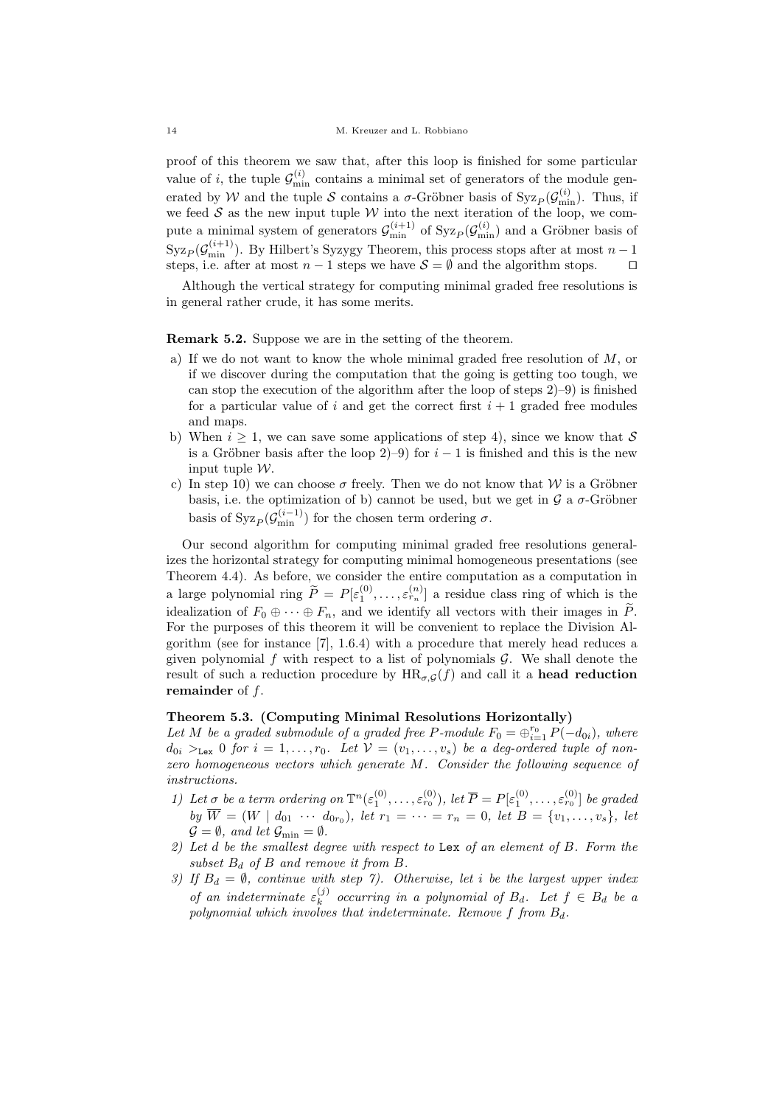proof of this theorem we saw that, after this loop is finished for some particular value of *i*, the tuple  $\mathcal{G}_{\min}^{(i)}$  contains a minimal set of generators of the module generated by W and the tuple S contains a  $\sigma$ -Gröbner basis of Syz<sub>P</sub>( $\mathcal{G}_{\min}^{(i)}$ ). Thus, if we feed  $S$  as the new input tuple  $W$  into the next iteration of the loop, we compute a minimal system of generators  $\mathcal{G}_{\min}^{(i+1)}$  of  $Syz_p(\mathcal{G}_{\min}^{(i)})$  and a Gröbner basis of  $Syz_P(\mathcal{G}_{\min}^{(i+1)})$ . By Hilbert's Syzygy Theorem, this process stops after at most  $n-1$ steps, i.e. after at most  $n-1$  steps we have  $S = \emptyset$  and the algorithm stops.  $\square$ 

Although the vertical strategy for computing minimal graded free resolutions is in general rather crude, it has some merits.

Remark 5.2. Suppose we are in the setting of the theorem.

- a) If we do not want to know the whole minimal graded free resolution of M, or if we discover during the computation that the going is getting too tough, we can stop the execution of the algorithm after the loop of steps 2)–9) is finished for a particular value of i and get the correct first  $i + 1$  graded free modules and maps.
- b) When  $i \geq 1$ , we can save some applications of step 4), since we know that S is a Gröbner basis after the loop 2)–9) for  $i-1$  is finished and this is the new input tuple W.
- c) In step 10) we can choose  $\sigma$  freely. Then we do not know that W is a Gröbner basis, i.e. the optimization of b) cannot be used, but we get in  $\mathcal G$  a  $\sigma$ -Gröbner basis of  $\operatorname{Syz}_P(\mathcal{G}_{\min}^{(i-1)})$  for the chosen term ordering  $\sigma$ .

Our second algorithm for computing minimal graded free resolutions generalizes the horizontal strategy for computing minimal homogeneous presentations (see Theorem 4.4). As before, we consider the entire computation as a computation in a large polynomial ring  $\widetilde{P} = P[\varepsilon_1^{(0)}, \ldots, \varepsilon_{r_n}^{(n)}]$  a residue class ring of which is the idealization of  $F_0 \oplus \cdots \oplus F_n$ , and we identify all vectors with their images in  $\widetilde{P}$ . For the purposes of this theorem it will be convenient to replace the Division Algorithm (see for instance [7], 1.6.4) with a procedure that merely head reduces a given polynomial f with respect to a list of polynomials  $\mathcal G$ . We shall denote the result of such a reduction procedure by  $HR_{\sigma,G}(f)$  and call it a **head reduction** remainder of f.

### Theorem 5.3. (Computing Minimal Resolutions Horizontally)

Let M be a graded submodule of a graded free P-module  $F_0 = \bigoplus_{i=1}^{r_0} P(-d_{0i})$ , where  $d_{0i} >_{\text{Lex}} 0$  for  $i = 1, \ldots, r_0$ . Let  $\mathcal{V} = (v_1, \ldots, v_s)$  be a deg-ordered tuple of nonzero homogeneous vectors which generate M. Consider the following sequence of instructions.

- 1) Let  $\sigma$  be a term ordering on  $\mathbb{T}^n(\varepsilon_1^{(0)},\ldots,\varepsilon_{r_0}^{(0)}),$  let  $\overline{P} = P[\varepsilon_1^{(0)},\ldots,\varepsilon_{r_0}^{(0)}]$  be graded by  $W = (W \mid d_{01} \cdots d_{0r_0}), \text{ let } r_1 = \cdots = r_n = 0, \text{ let } B = \{v_1, \ldots, v_s\}, \text{ let }$  $\mathcal{G} = \emptyset$ , and let  $\mathcal{G}_{\min} = \emptyset$ .
- 2) Let  $d$  be the smallest degree with respect to Lex of an element of  $B$ . Form the subset  $B_d$  of B and remove it from B.
- 3) If  $B_d = \emptyset$ , continue with step 7). Otherwise, let i be the largest upper index of an indeterminate  $\varepsilon_k^{(j)}$  $\lambda_k^{(j)}$  occurring in a polynomial of  $B_d$ . Let  $f \in B_d$  be a polynomial which involves that indeterminate. Remove  $f$  from  $B_d$ .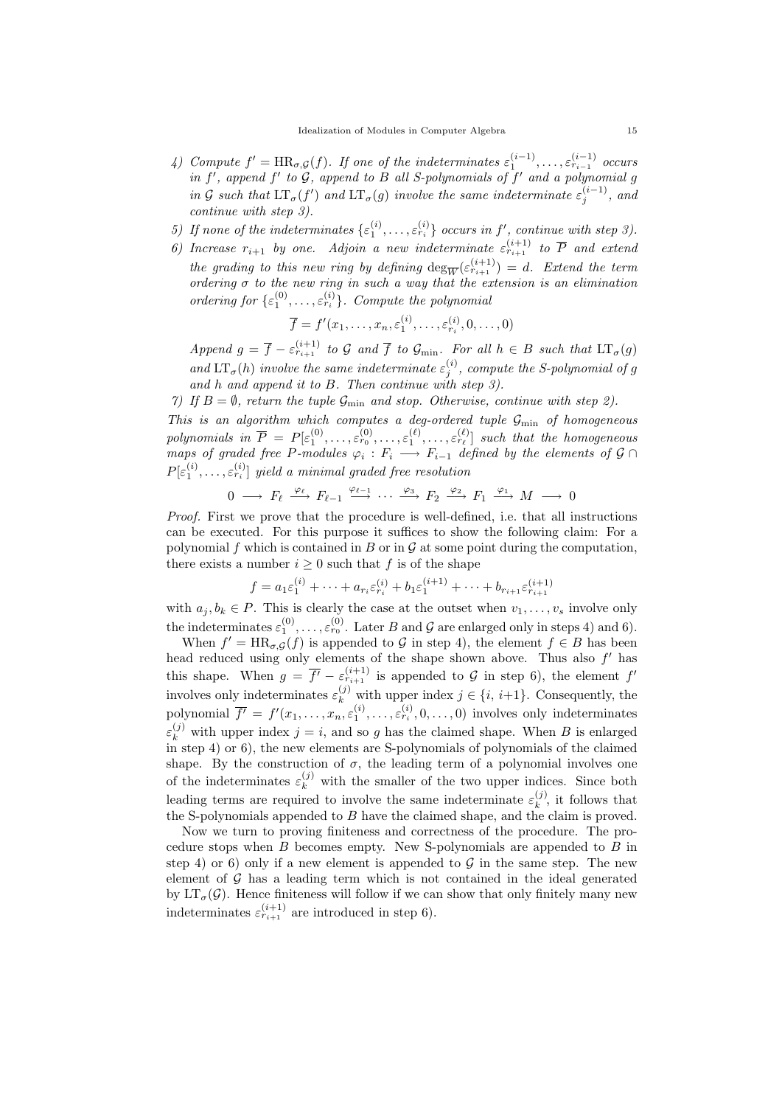- 4) Compute  $f' = \text{HR}_{\sigma, \mathcal{G}}(f)$ . If one of the indeterminates  $\varepsilon_1^{(i-1)}, \ldots, \varepsilon_{r_{i-1}}^{(i-1)}$  occurs in  $f'$ , append  $f'$  to  $G$ , append to  $B$  all S-polynomials of  $f'$  and a polynomial  $g$ in G such that  $LT_{\sigma}(f')$  and  $LT_{\sigma}(g)$  involve the same indeterminate  $\varepsilon_j^{(i-1)}$ , and continue with step 3).
- 5) If none of the indeterminates  $\{\varepsilon_1^{(i)},\ldots,\varepsilon_{r_i}^{(i)}\}$  occurs in  $f'$ , continue with step 3).
- 6) Increase  $r_{i+1}$  by one. Adjoin a new indeterminate  $\varepsilon_{r_{i+1}}^{(i+1)}$  to  $\overline{P}$  and extend the grading to this new ring by defining  $\deg_{\overline{W}}(\varepsilon_{r_{i+1}}^{(i+1)}) = d$ . Extend the term ordering  $\sigma$  to the new ring in such a way that the extension is an elimination ordering for  $\{\varepsilon_1^{(0)}, \ldots, \varepsilon_{r_i}^{(i)}\}$ . Compute the polynomial

$$
\overline{f} = f'(x_1, \dots, x_n, \varepsilon_1^{(i)}, \dots, \varepsilon_{r_i}^{(i)}, 0, \dots, 0)
$$

Append  $g = \overline{f} - \varepsilon_{r_{i+1}}^{(i+1)}$  to  $\mathcal G$  and  $\overline{f}$  to  $\mathcal G_{\min}$ . For all  $h \in B$  such that  $LT_{\sigma}(g)$ and  $LT_{\sigma}(h)$  involve the same indeterminate  $\varepsilon_j^{(i)}$ , compute the S-polynomial of g and h and append it to B. Then continue with step 3).

7) If  $B = \emptyset$ , return the tuple  $\mathcal{G}_{\text{min}}$  and stop. Otherwise, continue with step 2).

This is an algorithm which computes a deg-ordered tuple  $\mathcal{G}_{\text{min}}$  of homogeneous polynomials in  $\overline{P} = P[\varepsilon_1^{(0)}, \ldots, \varepsilon_{r_0}^{(0)}, \ldots, \varepsilon_1^{(\ell)}, \ldots, \varepsilon_{r_\ell}^{(\ell)}]$  such that the homogeneous maps of graded free P-modules  $\varphi_i : F_i \longrightarrow F_{i-1}$  defined by the elements of  $\mathcal{G} \cap$  $P[\varepsilon^{(i)}_1,\ldots,\varepsilon^{(i)}_{r_i}]$  yield a minimal graded free resolution

 $0 \longrightarrow F_{\ell} \stackrel{\varphi_{\ell}}{\longrightarrow} F_{\ell-1} \stackrel{\varphi_{\ell-1}}{\longrightarrow} \cdots \stackrel{\varphi_3}{\longrightarrow} F_2 \stackrel{\varphi_2}{\longrightarrow} F_1 \stackrel{\varphi_1}{\longrightarrow} M \longrightarrow 0$ 

Proof. First we prove that the procedure is well-defined, i.e. that all instructions can be executed. For this purpose it suffices to show the following claim: For a polynomial f which is contained in B or in  $\mathcal G$  at some point during the computation, there exists a number  $i \geq 0$  such that f is of the shape

$$
f = a_1 \varepsilon_1^{(i)} + \cdots + a_{r_i} \varepsilon_{r_i}^{(i)} + b_1 \varepsilon_1^{(i+1)} + \cdots + b_{r_{i+1}} \varepsilon_{r_{i+1}}^{(i+1)}
$$

with  $a_j, b_k \in P$ . This is clearly the case at the outset when  $v_1, \ldots, v_s$  involve only the indeterminates  $\varepsilon_1^{(0)}, \ldots, \varepsilon_{r_0}^{(0)}$ . Later B and G are enlarged only in steps 4) and 6).

When  $f' = \text{HR}_{\sigma, \mathcal{G}}(f)$  is appended to  $\mathcal{G}$  in step 4), the element  $f \in B$  has been head reduced using only elements of the shape shown above. Thus also  $f'$  has this shape. When  $g = \overline{f'} - \varepsilon_{r_{i+1}}^{(i+1)}$  is appended to G in step 6), the element  $f'$ involves only indeterminates  $\varepsilon_k^{(j)}$  with upper index  $j \in \{i, i+1\}$ . Consequently, the polynomial  $\overline{f'} = f'(x_1, \ldots, x_n, \varepsilon_1^{(i)}, \ldots, \varepsilon_{r_i}^{(i)}, 0, \ldots, 0)$  involves only indeterminates  $\varepsilon_k^{(j)}$  with upper index  $j = i$ , and so g has the claimed shape. When B is enlarged  $\hat{m}$  step 4) or 6), the new elements are S-polynomials of polynomials of the claimed shape. By the construction of  $\sigma$ , the leading term of a polynomial involves one of the indeterminates  $\varepsilon_k^{(j)}$  with the smaller of the two upper indices. Since both leading terms are required to involve the same indeterminate  $\varepsilon_k^{(j)}$  $\mathbf{k}^{(j)}$ , it follows that the S-polynomials appended to B have the claimed shape, and the claim is proved.

Now we turn to proving finiteness and correctness of the procedure. The procedure stops when  $B$  becomes empty. New S-polynomials are appended to  $B$  in step 4) or 6) only if a new element is appended to  $\mathcal G$  in the same step. The new element of  $\mathcal G$  has a leading term which is not contained in the ideal generated by  $LT_{\sigma}(\mathcal{G})$ . Hence finiteness will follow if we can show that only finitely many new indeterminates  $\varepsilon_{r_{i+1}}^{(i+1)}$  are introduced in step 6).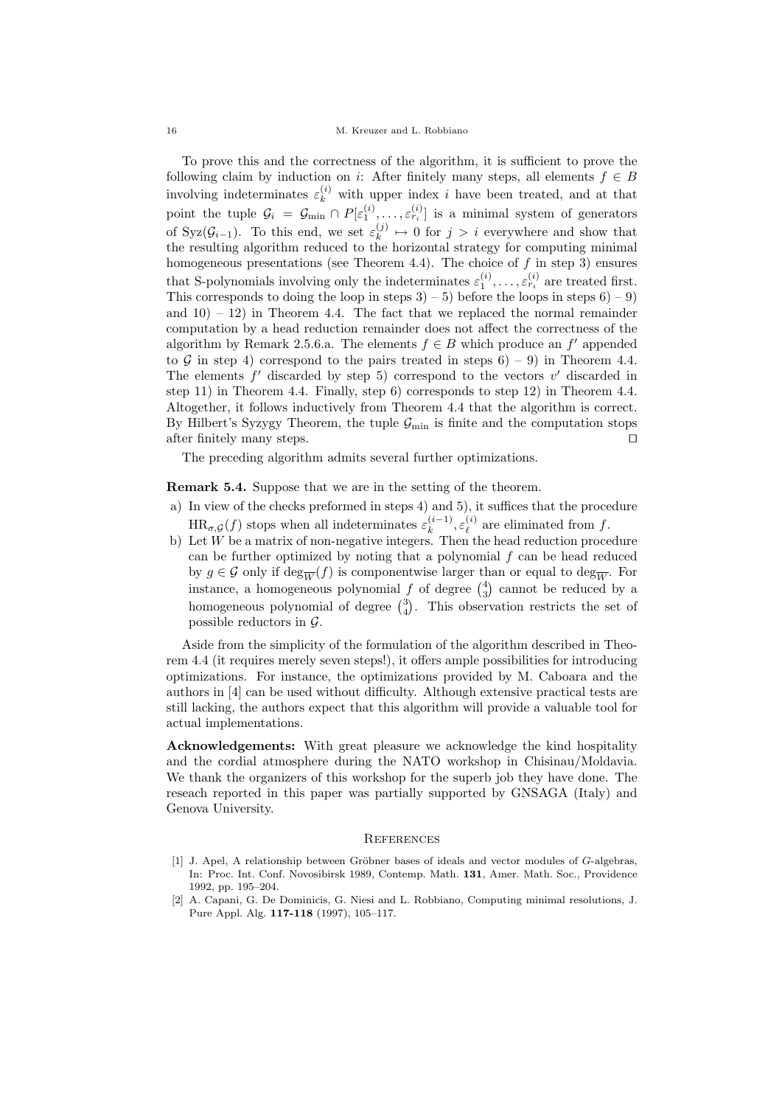To prove this and the correctness of the algorithm, it is sufficient to prove the following claim by induction on i: After finitely many steps, all elements  $f \in B$ involving indeterminates  $\varepsilon_k^{(i)}$  with upper index i have been treated, and at that point the tuple  $\mathcal{G}_i = \mathcal{G}_{\min} \cap P[\varepsilon_1^{(i)}, \ldots, \varepsilon_{r_i}^{(i)}]$  is a minimal system of generators of Syz $(\mathcal{G}_{i-1})$ . To this end, we set  $\varepsilon_k^{(j)}$  $\lambda_k^{(j)} \mapsto 0$  for  $j > i$  everywhere and show that the resulting algorithm reduced to the horizontal strategy for computing minimal homogeneous presentations (see Theorem 4.4). The choice of  $f$  in step 3) ensures that S-polynomials involving only the indeterminates  $\varepsilon_1^{(i)}, \ldots, \varepsilon_{r_i}^{(i)}$  are treated first. This corresponds to doing the loop in steps  $3 - 5$ ) before the loops in steps  $6 - 9$ and  $10 - 12$  in Theorem 4.4. The fact that we replaced the normal remainder computation by a head reduction remainder does not affect the correctness of the algorithm by Remark 2.5.6.a. The elements  $f \in B$  which produce an  $f'$  appended to G in step 4) correspond to the pairs treated in steps  $6$  – 9) in Theorem 4.4. The elements  $f'$  discarded by step 5) correspond to the vectors  $v'$  discarded in step 11) in Theorem 4.4. Finally, step 6) corresponds to step 12) in Theorem 4.4. Altogether, it follows inductively from Theorem 4.4 that the algorithm is correct. By Hilbert's Syzygy Theorem, the tuple  $\mathcal{G}_{\text{min}}$  is finite and the computation stops after finitely many steps.  $\Box$ 

The preceding algorithm admits several further optimizations.

Remark 5.4. Suppose that we are in the setting of the theorem.

- a) In view of the checks preformed in steps 4) and 5), it suffices that the procedure  $HR_{\sigma,\mathcal{G}}(f)$  stops when all indeterminates  $\varepsilon_k^{(i-1)}$  $\mathcal{E}_k^{(i-1)}, \mathcal{E}_\ell^{(i)}$  $\ell^{(i)}$  are eliminated from f.
- b) Let  $W$  be a matrix of non-negative integers. Then the head reduction procedure can be further optimized by noting that a polynomial  $f$  can be head reduced by  $g \in \mathcal{G}$  only if  $\deg_{\overline{W}}(f)$  is componentwise larger than or equal to  $\deg_{\overline{W}}$ . For instance, a homogeneous polynomial  $f$  of degree  $\binom{4}{3}$  cannot be reduced by a homogeneous polynomial of degree  $\binom{3}{4}$ . This observation restricts the set of possible reductors in  $\mathcal{G}$ .

Aside from the simplicity of the formulation of the algorithm described in Theorem 4.4 (it requires merely seven steps!), it offers ample possibilities for introducing optimizations. For instance, the optimizations provided by M. Caboara and the authors in [4] can be used without difficulty. Although extensive practical tests are still lacking, the authors expect that this algorithm will provide a valuable tool for actual implementations.

Acknowledgements: With great pleasure we acknowledge the kind hospitality and the cordial atmosphere during the NATO workshop in Chisinau/Moldavia. We thank the organizers of this workshop for the superb job they have done. The reseach reported in this paper was partially supported by GNSAGA (Italy) and Genova University.

## **REFERENCES**

- [1] J. Apel, A relationship between Gröbner bases of ideals and vector modules of G-algebras, In: Proc. Int. Conf. Novosibirsk 1989, Contemp. Math. 131, Amer. Math. Soc., Providence 1992, pp. 195–204.
- [2] A. Capani, G. De Dominicis, G. Niesi and L. Robbiano, Computing minimal resolutions, J. Pure Appl. Alg. 117-118 (1997), 105–117.